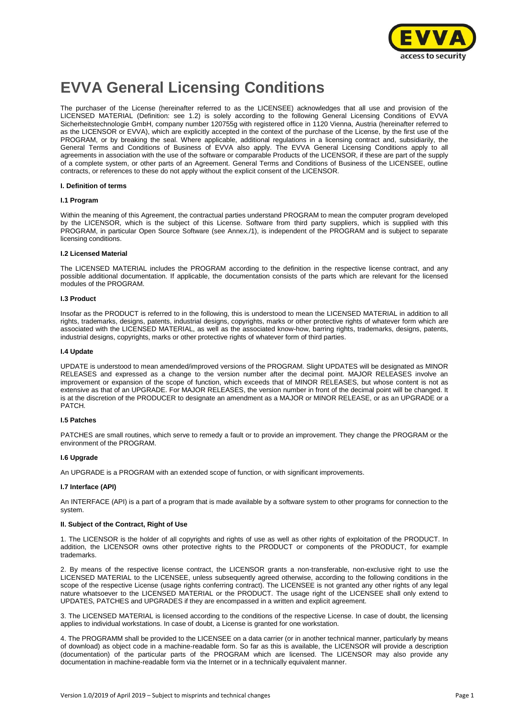

# **EVVA General Licensing Conditions**

The purchaser of the License (hereinafter referred to as the LICENSEE) acknowledges that all use and provision of the LICENSED MATERIAL (Definition: see 1.2) is solely according to the following General Licensing Conditions of EVVA Sicherheitstechnologie GmbH, company number 120755g with registered office in 1120 Vienna, Austria (hereinafter referred to as the LICENSOR or EVVA), which are explicitly accepted in the context of the purchase of the License, by the first use of the PROGRAM, or by breaking the seal. Where applicable, additional regulations in a licensing contract and, subsidiarily, the General Terms and Conditions of Business of EVVA also apply. The EVVA General Licensing Conditions apply to all agreements in association with the use of the software or comparable Products of the LICENSOR, if these are part of the supply of a complete system, or other parts of an Agreement. General Terms and Conditions of Business of the LICENSEE, outline contracts, or references to these do not apply without the explicit consent of the LICENSOR.

#### **I. Definition of terms**

#### **I.1 Program**

Within the meaning of this Agreement, the contractual parties understand PROGRAM to mean the computer program developed by the LICENSOR, which is the subject of this License. Software from third party suppliers, which is supplied with this PROGRAM, in particular Open Source Software (see Annex./1), is independent of the PROGRAM and is subject to separate licensing conditions.

#### **I.2 Licensed Material**

The LICENSED MATERIAL includes the PROGRAM according to the definition in the respective license contract, and any possible additional documentation. If applicable, the documentation consists of the parts which are relevant for the licensed modules of the PROGRAM.

#### **I.3 Product**

Insofar as the PRODUCT is referred to in the following, this is understood to mean the LICENSED MATERIAL in addition to all rights, trademarks, designs, patents, industrial designs, copyrights, marks or other protective rights of whatever form which are associated with the LICENSED MATERIAL, as well as the associated know-how, barring rights, trademarks, designs, patents, industrial designs, copyrights, marks or other protective rights of whatever form of third parties.

## **I.4 Update**

UPDATE is understood to mean amended/improved versions of the PROGRAM. Slight UPDATES will be designated as MINOR RELEASES and expressed as a change to the version number after the decimal point. MAJOR RELEASES involve an improvement or expansion of the scope of function, which exceeds that of MINOR RELEASES, but whose content is not as extensive as that of an UPGRADE. For MAJOR RELEASES, the version number in front of the decimal point will be changed. It is at the discretion of the PRODUCER to designate an amendment as a MAJOR or MINOR RELEASE, or as an UPGRADE or a PATCH.

#### **I.5 Patches**

PATCHES are small routines, which serve to remedy a fault or to provide an improvement. They change the PROGRAM or the environment of the PROGRAM.

#### **I.6 Upgrade**

An UPGRADE is a PROGRAM with an extended scope of function, or with significant improvements.

#### **I.7 Interface (API)**

An INTERFACE (API) is a part of a program that is made available by a software system to other programs for connection to the system.

#### **II. Subject of the Contract, Right of Use**

1. The LICENSOR is the holder of all copyrights and rights of use as well as other rights of exploitation of the PRODUCT. In addition, the LICENSOR owns other protective rights to the PRODUCT or components of the PRODUCT, for example trademarks.

2. By means of the respective license contract, the LICENSOR grants a non-transferable, non-exclusive right to use the LICENSED MATERIAL to the LICENSEE, unless subsequently agreed otherwise, according to the following conditions in the scope of the respective License (usage rights conferring contract). The LICENSEE is not granted any other rights of any legal nature whatsoever to the LICENSED MATERIAL or the PRODUCT. The usage right of the LICENSEE shall only extend to UPDATES, PATCHES and UPGRADES if they are encompassed in a written and explicit agreement.

3. The LICENSED MATERIAL is licensed according to the conditions of the respective License. In case of doubt, the licensing applies to individual workstations. In case of doubt, a License is granted for one workstation.

4. The PROGRAMM shall be provided to the LICENSEE on a data carrier (or in another technical manner, particularly by means of download) as object code in a machine-readable form. So far as this is available, the LICENSOR will provide a description (documentation) of the particular parts of the PROGRAM which are licensed. The LICENSOR may also provide any documentation in machine-readable form via the Internet or in a technically equivalent manner.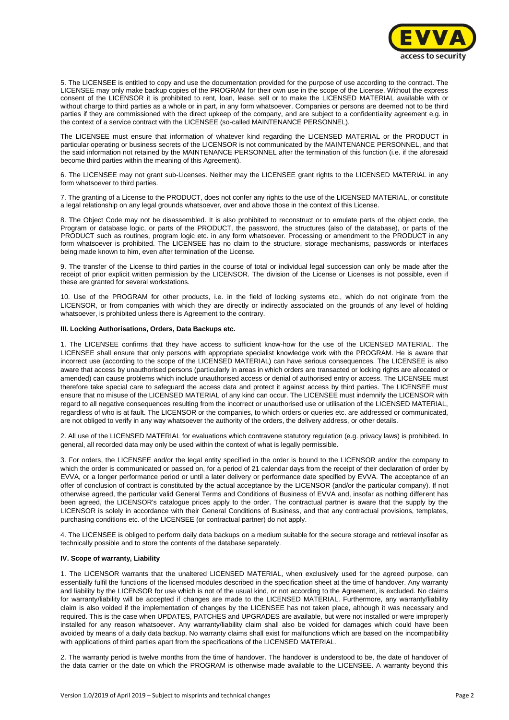

5. The LICENSEE is entitled to copy and use the documentation provided for the purpose of use according to the contract. The LICENSEE may only make backup copies of the PROGRAM for their own use in the scope of the License. Without the express consent of the LICENSOR it is prohibited to rent, loan, lease, sell or to make the LICENSED MATERIAL available with or without charge to third parties as a whole or in part, in any form whatsoever. Companies or persons are deemed not to be third parties if they are commissioned with the direct upkeep of the company, and are subject to a confidentiality agreement e.g. in the context of a service contract with the LICENSEE (so-called MAINTENANCE PERSONNEL).

The LICENSEE must ensure that information of whatever kind regarding the LICENSED MATERIAL or the PRODUCT in particular operating or business secrets of the LICENSOR is not communicated by the MAINTENANCE PERSONNEL, and that the said information not retained by the MAINTENANCE PERSONNEL after the termination of this function (i.e. if the aforesaid become third parties within the meaning of this Agreement).

6. The LICENSEE may not grant sub-Licenses. Neither may the LICENSEE grant rights to the LICENSED MATERIAL in any form whatsoever to third parties.

7. The granting of a License to the PRODUCT, does not confer any rights to the use of the LICENSED MATERIAL, or constitute a legal relationship on any legal grounds whatsoever, over and above those in the context of this License.

8. The Object Code may not be disassembled. It is also prohibited to reconstruct or to emulate parts of the object code, the Program or database logic, or parts of the PRODUCT, the password, the structures (also of the database), or parts of the PRODUCT such as routines, program logic etc. in any form whatsoever. Processing or amendment to the PRODUCT in any form whatsoever is prohibited. The LICENSEE has no claim to the structure, storage mechanisms, passwords or interfaces being made known to him, even after termination of the License.

9. The transfer of the License to third parties in the course of total or individual legal succession can only be made after the receipt of prior explicit written permission by the LICENSOR. The division of the License or Licenses is not possible, even if these are granted for several workstations.

10. Use of the PROGRAM for other products, i.e. in the field of locking systems etc., which do not originate from the LICENSOR, or from companies with which they are directly or indirectly associated on the grounds of any level of holding whatsoever, is prohibited unless there is Agreement to the contrary.

#### **III. Locking Authorisations, Orders, Data Backups etc.**

1. The LICENSEE confirms that they have access to sufficient know-how for the use of the LICENSED MATERIAL. The LICENSEE shall ensure that only persons with appropriate specialist knowledge work with the PROGRAM. He is aware that incorrect use (according to the scope of the LICENSED MATERIAL) can have serious consequences. The LICENSEE is also aware that access by unauthorised persons (particularly in areas in which orders are transacted or locking rights are allocated or amended) can cause problems which include unauthorised access or denial of authorised entry or access. The LICENSEE must therefore take special care to safeguard the access data and protect it against access by third parties. The LICENSEE must ensure that no misuse of the LICENSED MATERIAL of any kind can occur. The LICENSEE must indemnify the LICENSOR with regard to all negative consequences resulting from the incorrect or unauthorised use or utilisation of the LICENSED MATERIAL, regardless of who is at fault. The LICENSOR or the companies, to which orders or queries etc. are addressed or communicated, are not obliged to verify in any way whatsoever the authority of the orders, the delivery address, or other details.

2. All use of the LICENSED MATERIAL for evaluations which contravene statutory regulation (e.g. privacy laws) is prohibited. In general, all recorded data may only be used within the context of what is legally permissible.

3. For orders, the LICENSEE and/or the legal entity specified in the order is bound to the LICENSOR and/or the company to which the order is communicated or passed on, for a period of 21 calendar days from the receipt of their declaration of order by EVVA, or a longer performance period or until a later delivery or performance date specified by EVVA. The acceptance of an offer of conclusion of contract is constituted by the actual acceptance by the LICENSOR (and/or the particular company). If not otherwise agreed, the particular valid General Terms and Conditions of Business of EVVA and, insofar as nothing different has been agreed, the LICENSOR's catalogue prices apply to the order. The contractual partner is aware that the supply by the LICENSOR is solely in accordance with their General Conditions of Business, and that any contractual provisions, templates, purchasing conditions etc. of the LICENSEE (or contractual partner) do not apply.

4. The LICENSEE is obliged to perform daily data backups on a medium suitable for the secure storage and retrieval insofar as technically possible and to store the contents of the database separately.

#### **IV. Scope of warranty, Liability**

1. The LICENSOR warrants that the unaltered LICENSED MATERIAL, when exclusively used for the agreed purpose, can essentially fulfil the functions of the licensed modules described in the specification sheet at the time of handover. Any warranty and liability by the LICENSOR for use which is not of the usual kind, or not according to the Agreement, is excluded. No claims for warranty/liability will be accepted if changes are made to the LICENSED MATERIAL. Furthermore, any warranty/liability claim is also voided if the implementation of changes by the LICENSEE has not taken place, although it was necessary and required. This is the case when UPDATES, PATCHES and UPGRADES are available, but were not installed or were improperly installed for any reason whatsoever. Any warranty/liability claim shall also be voided for damages which could have been avoided by means of a daily data backup. No warranty claims shall exist for malfunctions which are based on the incompatibility with applications of third parties apart from the specifications of the LICENSED MATERIAL.

2. The warranty period is twelve months from the time of handover. The handover is understood to be, the date of handover of the data carrier or the date on which the PROGRAM is otherwise made available to the LICENSEE. A warranty beyond this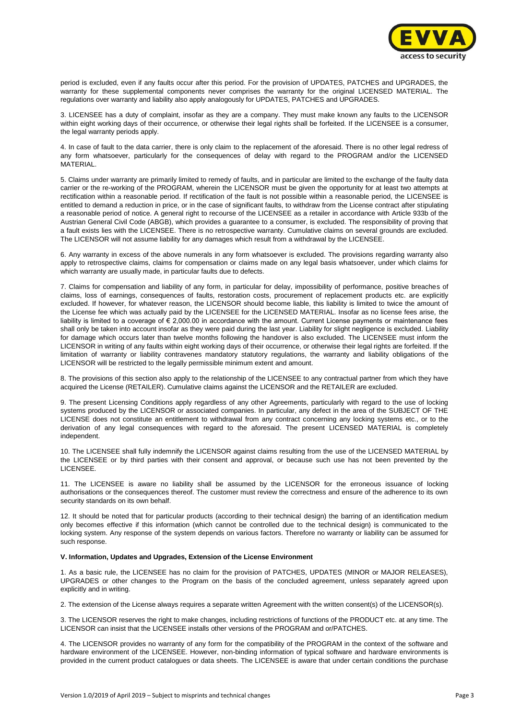

period is excluded, even if any faults occur after this period. For the provision of UPDATES, PATCHES and UPGRADES, the warranty for these supplemental components never comprises the warranty for the original LICENSED MATERIAL. The regulations over warranty and liability also apply analogously for UPDATES, PATCHES and UPGRADES.

3. LICENSEE has a duty of complaint, insofar as they are a company. They must make known any faults to the LICENSOR within eight working days of their occurrence, or otherwise their legal rights shall be forfeited. If the LICENSEE is a consumer, the legal warranty periods apply.

4. In case of fault to the data carrier, there is only claim to the replacement of the aforesaid. There is no other legal redress of any form whatsoever, particularly for the consequences of delay with regard to the PROGRAM and/or the LICENSED MATERIAL.

5. Claims under warranty are primarily limited to remedy of faults, and in particular are limited to the exchange of the faulty data carrier or the re-working of the PROGRAM, wherein the LICENSOR must be given the opportunity for at least two attempts at rectification within a reasonable period. If rectification of the fault is not possible within a reasonable period, the LICENSEE is entitled to demand a reduction in price, or in the case of significant faults, to withdraw from the License contract after stipulating a reasonable period of notice. A general right to recourse of the LICENSEE as a retailer in accordance with Article 933b of the Austrian General Civil Code (ABGB), which provides a guarantee to a consumer, is excluded. The responsibility of proving that a fault exists lies with the LICENSEE. There is no retrospective warranty. Cumulative claims on several grounds are excluded. The LICENSOR will not assume liability for any damages which result from a withdrawal by the LICENSEE.

6. Any warranty in excess of the above numerals in any form whatsoever is excluded. The provisions regarding warranty also apply to retrospective claims, claims for compensation or claims made on any legal basis whatsoever, under which claims for which warranty are usually made, in particular faults due to defects.

7. Claims for compensation and liability of any form, in particular for delay, impossibility of performance, positive breaches of claims, loss of earnings, consequences of faults, restoration costs, procurement of replacement products etc. are explicitly excluded. If however, for whatever reason, the LICENSOR should become liable, this liability is limited to twice the amount of the License fee which was actually paid by the LICENSEE for the LICENSED MATERIAL. Insofar as no license fees arise, the liability is limited to a coverage of € 2,000.00 in accordance with the amount. Current License payments or maintenance fees shall only be taken into account insofar as they were paid during the last year. Liability for slight negligence is excluded. Liability for damage which occurs later than twelve months following the handover is also excluded. The LICENSEE must inform the LICENSOR in writing of any faults within eight working days of their occurrence, or otherwise their legal rights are forfeited. If the limitation of warranty or liability contravenes mandatory statutory regulations, the warranty and liability obligations of the LICENSOR will be restricted to the legally permissible minimum extent and amount.

8. The provisions of this section also apply to the relationship of the LICENSEE to any contractual partner from which they have acquired the License (RETAILER). Cumulative claims against the LICENSOR and the RETAILER are excluded.

9. The present Licensing Conditions apply regardless of any other Agreements, particularly with regard to the use of locking systems produced by the LICENSOR or associated companies. In particular, any defect in the area of the SUBJECT OF THE LICENSE does not constitute an entitlement to withdrawal from any contract concerning any locking systems etc., or to the derivation of any legal consequences with regard to the aforesaid. The present LICENSED MATERIAL is completely independent.

10. The LICENSEE shall fully indemnify the LICENSOR against claims resulting from the use of the LICENSED MATERIAL by the LICENSEE or by third parties with their consent and approval, or because such use has not been prevented by the LICENSEE.

11. The LICENSEE is aware no liability shall be assumed by the LICENSOR for the erroneous issuance of locking authorisations or the consequences thereof. The customer must review the correctness and ensure of the adherence to its own security standards on its own behalf.

12. It should be noted that for particular products (according to their technical design) the barring of an identification medium only becomes effective if this information (which cannot be controlled due to the technical design) is communicated to the locking system. Any response of the system depends on various factors. Therefore no warranty or liability can be assumed for such response.

# **V. Information, Updates and Upgrades, Extension of the License Environment**

1. As a basic rule, the LICENSEE has no claim for the provision of PATCHES, UPDATES (MINOR or MAJOR RELEASES), UPGRADES or other changes to the Program on the basis of the concluded agreement, unless separately agreed upon explicitly and in writing.

2. The extension of the License always requires a separate written Agreement with the written consent(s) of the LICENSOR(s).

3. The LICENSOR reserves the right to make changes, including restrictions of functions of the PRODUCT etc. at any time. The LICENSOR can insist that the LICENSEE installs other versions of the PROGRAM and or/PATCHES.

4. The LICENSOR provides no warranty of any form for the compatibility of the PROGRAM in the context of the software and hardware environment of the LICENSEE. However, non-binding information of typical software and hardware environments is provided in the current product catalogues or data sheets. The LICENSEE is aware that under certain conditions the purchase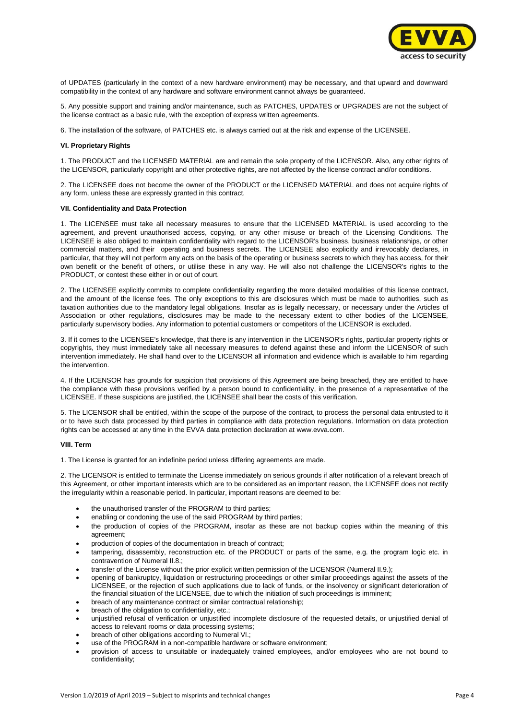

of UPDATES (particularly in the context of a new hardware environment) may be necessary, and that upward and downward compatibility in the context of any hardware and software environment cannot always be guaranteed.

5. Any possible support and training and/or maintenance, such as PATCHES, UPDATES or UPGRADES are not the subject of the license contract as a basic rule, with the exception of express written agreements.

6. The installation of the software, of PATCHES etc. is always carried out at the risk and expense of the LICENSEE.

#### **VI. Proprietary Rights**

1. The PRODUCT and the LICENSED MATERIAL are and remain the sole property of the LICENSOR. Also, any other rights of the LICENSOR, particularly copyright and other protective rights, are not affected by the license contract and/or conditions.

2. The LICENSEE does not become the owner of the PRODUCT or the LICENSED MATERIAL and does not acquire rights of any form, unless these are expressly granted in this contract.

#### **VII. Confidentiality and Data Protection**

1. The LICENSEE must take all necessary measures to ensure that the LICENSED MATERIAL is used according to the agreement, and prevent unauthorised access, copying, or any other misuse or breach of the Licensing Conditions. The LICENSEE is also obliged to maintain confidentiality with regard to the LICENSOR's business, business relationships, or other commercial matters, and their operating and business secrets. The LICENSEE also explicitly and irrevocably declares, in particular, that they will not perform any acts on the basis of the operating or business secrets to which they has access, for their own benefit or the benefit of others, or utilise these in any way. He will also not challenge the LICENSOR's rights to the PRODUCT, or contest these either in or out of court.

2. The LICENSEE explicitly commits to complete confidentiality regarding the more detailed modalities of this license contract, and the amount of the license fees. The only exceptions to this are disclosures which must be made to authorities, such as taxation authorities due to the mandatory legal obligations. Insofar as is legally necessary, or necessary under the Articles of Association or other regulations, disclosures may be made to the necessary extent to other bodies of the LICENSEE, particularly supervisory bodies. Any information to potential customers or competitors of the LICENSOR is excluded.

3. If it comes to the LICENSEE's knowledge, that there is any intervention in the LICENSOR's rights, particular property rights or copyrights, they must immediately take all necessary measures to defend against these and inform the LICENSOR of such intervention immediately. He shall hand over to the LICENSOR all information and evidence which is available to him regarding the intervention.

4. If the LICENSOR has grounds for suspicion that provisions of this Agreement are being breached, they are entitled to have the compliance with these provisions verified by a person bound to confidentiality, in the presence of a representative of the LICENSEE. If these suspicions are justified, the LICENSEE shall bear the costs of this verification.

5. The LICENSOR shall be entitled, within the scope of the purpose of the contract, to process the personal data entrusted to it or to have such data processed by third parties in compliance with data protection regulations. Information on data protection rights can be accessed at any time in the EVVA data protection declaration at [www.evva.com.](http://www.evva.com/)

#### **VIII. Term**

1. The License is granted for an indefinite period unless differing agreements are made.

2. The LICENSOR is entitled to terminate the License immediately on serious grounds if after notification of a relevant breach of this Agreement, or other important interests which are to be considered as an important reason, the LICENSEE does not rectify the irregularity within a reasonable period. In particular, important reasons are deemed to be:

- the unauthorised transfer of the PROGRAM to third parties;
- enabling or condoning the use of the said PROGRAM by third parties;
- the production of copies of the PROGRAM, insofar as these are not backup copies within the meaning of this agreement;
- production of copies of the documentation in breach of contract;
- tampering, disassembly, reconstruction etc. of the PRODUCT or parts of the same, e.g. the program logic etc. in contravention of Numeral II.8.;
- transfer of the License without the prior explicit written permission of the LICENSOR (Numeral II.9.);
- opening of bankruptcy, liquidation or restructuring proceedings or other similar proceedings against the assets of the LICENSEE, or the rejection of such applications due to lack of funds, or the insolvency or significant deterioration of the financial situation of the LICENSEE, due to which the initiation of such proceedings is imminent;
- breach of any maintenance contract or similar contractual relationship;
- breach of the obligation to confidentiality, etc.;
- unjustified refusal of verification or unjustified incomplete disclosure of the requested details, or unjustified denial of access to relevant rooms or data processing systems;
- breach of other obligations according to Numeral VI.;
- use of the PROGRAM in a non-compatible hardware or software environment;
- provision of access to unsuitable or inadequately trained employees, and/or employees who are not bound to confidentiality;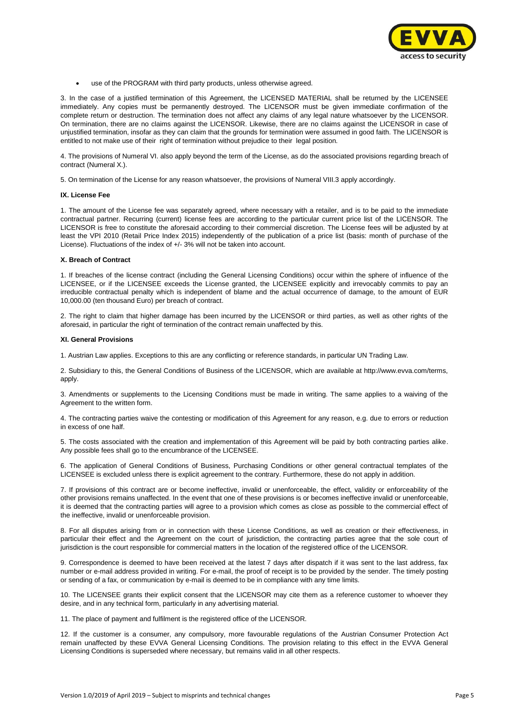

use of the PROGRAM with third party products, unless otherwise agreed.

3. In the case of a justified termination of this Agreement, the LICENSED MATERIAL shall be returned by the LICENSEE immediately. Any copies must be permanently destroyed. The LICENSOR must be given immediate confirmation of the complete return or destruction. The termination does not affect any claims of any legal nature whatsoever by the LICENSOR. On termination, there are no claims against the LICENSOR. Likewise, there are no claims against the LICENSOR in case of unjustified termination, insofar as they can claim that the grounds for termination were assumed in good faith. The LICENSOR is entitled to not make use of their right of termination without prejudice to their legal position.

4. The provisions of Numeral VI. also apply beyond the term of the License, as do the associated provisions regarding breach of contract (Numeral X.).

5. On termination of the License for any reason whatsoever, the provisions of Numeral VIII.3 apply accordingly.

#### **IX. License Fee**

1. The amount of the License fee was separately agreed, where necessary with a retailer, and is to be paid to the immediate contractual partner. Recurring (current) license fees are according to the particular current price list of the LICENSOR. The LICENSOR is free to constitute the aforesaid according to their commercial discretion. The License fees will be adjusted by at least the VPI 2010 (Retail Price Index 2015) independently of the publication of a price list (basis: month of purchase of the License). Fluctuations of the index of +/- 3% will not be taken into account.

#### **X. Breach of Contract**

1. If breaches of the license contract (including the General Licensing Conditions) occur within the sphere of influence of the LICENSEE, or if the LICENSEE exceeds the License granted, the LICENSEE explicitly and irrevocably commits to pay an irreducible contractual penalty which is independent of blame and the actual occurrence of damage, to the amount of EUR 10,000.00 (ten thousand Euro) per breach of contract.

2. The right to claim that higher damage has been incurred by the LICENSOR or third parties, as well as other rights of the aforesaid, in particular the right of termination of the contract remain unaffected by this.

#### **XI. General Provisions**

1. Austrian Law applies. Exceptions to this are any conflicting or reference standards, in particular UN Trading Law.

2. Subsidiary to this, the General Conditions of Business of the LICENSOR, which are available at http://www.evva.com/terms, apply.

3. Amendments or supplements to the Licensing Conditions must be made in writing. The same applies to a waiving of the Agreement to the written form.

4. The contracting parties waive the contesting or modification of this Agreement for any reason, e.g. due to errors or reduction in excess of one half.

5. The costs associated with the creation and implementation of this Agreement will be paid by both contracting parties alike. Any possible fees shall go to the encumbrance of the LICENSEE.

6. The application of General Conditions of Business, Purchasing Conditions or other general contractual templates of the LICENSEE is excluded unless there is explicit agreement to the contrary. Furthermore, these do not apply in addition.

7. If provisions of this contract are or become ineffective, invalid or unenforceable, the effect, validity or enforceability of the other provisions remains unaffected. In the event that one of these provisions is or becomes ineffective invalid or unenforceable, it is deemed that the contracting parties will agree to a provision which comes as close as possible to the commercial effect of the ineffective, invalid or unenforceable provision.

8. For all disputes arising from or in connection with these License Conditions, as well as creation or their effectiveness, in particular their effect and the Agreement on the court of jurisdiction, the contracting parties agree that the sole court of jurisdiction is the court responsible for commercial matters in the location of the registered office of the LICENSOR.

9. Correspondence is deemed to have been received at the latest 7 days after dispatch if it was sent to the last address, fax number or e-mail address provided in writing. For e-mail, the proof of receipt is to be provided by the sender. The timely posting or sending of a fax, or communication by e-mail is deemed to be in compliance with any time limits.

10. The LICENSEE grants their explicit consent that the LICENSOR may cite them as a reference customer to whoever they desire, and in any technical form, particularly in any advertising material.

11. The place of payment and fulfilment is the registered office of the LICENSOR.

12. If the customer is a consumer, any compulsory, more favourable regulations of the Austrian Consumer Protection Act remain unaffected by these EVVA General Licensing Conditions. The provision relating to this effect in the EVVA General Licensing Conditions is superseded where necessary, but remains valid in all other respects.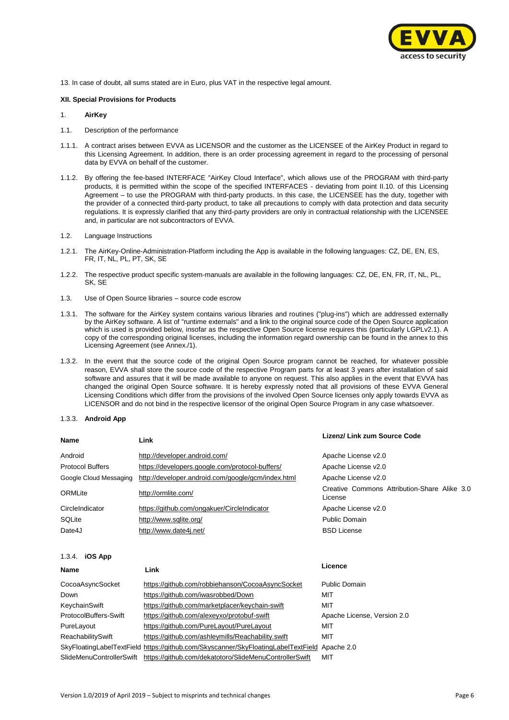

13. In case of doubt, all sums stated are in Euro, plus VAT in the respective legal amount.

# **XII. Special Provisions for Products**

## 1. **AirKey**

- 1.1. Description of the performance
- 1.1.1. A contract arises between EVVA as LICENSOR and the customer as the LICENSEE of the AirKey Product in regard to this Licensing Agreement. In addition, there is an order processing agreement in regard to the processing of personal data by EVVA on behalf of the customer.
- 1.1.2. By offering the fee-based INTERFACE "AirKey Cloud Interface", which allows use of the PROGRAM with third-party products, it is permitted within the scope of the specified INTERFACES - deviating from point II.10. of this Licensing Agreement – to use the PROGRAM with third-party products. In this case, the LICENSEE has the duty, together with the provider of a connected third-party product, to take all precautions to comply with data protection and data security regulations. It is expressly clarified that any third-party providers are only in contractual relationship with the LICENSEE and, in particular are not subcontractors of EVVA.
- 1.2. Language Instructions
- 1.2.1. The AirKey-Online-Administration-Platform including the App is available in the following languages: CZ, DE, EN, ES, FR, IT, NL, PL, PT, SK, SE
- 1.2.2. The respective product specific system-manuals are available in the following languages: CZ, DE, EN, FR, IT, NL, PL, SK, SE
- 1.3. Use of Open Source libraries source code escrow
- 1.3.1. The software for the AirKey system contains various libraries and routines ("plug-ins") which are addressed externally by the AirKey software. A list of "runtime externals" and a link to the original source code of the Open Source application which is used is provided below, insofar as the respective Open Source license requires this (particularly LGPLv2.1). A copy of the corresponding original licenses, including the information regard ownership can be found in the annex to this Licensing Agreement (see Annex./1).
- 1.3.2. In the event that the source code of the original Open Source program cannot be reached, for whatever possible reason, EVVA shall store the source code of the respective Program parts for at least 3 years after installation of said software and assures that it will be made available to anyone on request. This also applies in the event that EVVA has changed the original Open Source software. It is hereby expressly noted that all provisions of these EVVA General Licensing Conditions which differ from the provisions of the involved Open Source licenses only apply towards EVVA as LICENSOR and do not bind in the respective licensor of the original Open Source Program in any case whatsoever.

#### 1.3.3. **Android App**

| Name                    | Link                                               | Lizenz/ Link zum Source Code                            |
|-------------------------|----------------------------------------------------|---------------------------------------------------------|
| Android                 | http://developer.android.com/                      | Apache License v2.0                                     |
| <b>Protocol Buffers</b> | https://developers.google.com/protocol-buffers/    | Apache License v2.0                                     |
| Google Cloud Messaging  | http://developer.android.com/google/gcm/index.html | Apache License v2.0                                     |
| ORMLite                 | http://ormlite.com/                                | Creative Commons Attribution-Share Alike 3.0<br>License |
| CircleIndicator         | https://github.com/ongakuer/CircleIndicator        | Apache License v2.0                                     |
| SQLite                  | http://www.sqlite.org/                             | Public Domain                                           |
| Date4J                  | http://www.date4j.net/                             | <b>BSD License</b>                                      |
| 1.3.4.<br>iOS App       |                                                    |                                                         |
| Name                    | Link                                               | Licence                                                 |
| CocoaAsyncSocket        | https://github.com/robbiehanson/CocoaAsyncSocket   | Public Domain                                           |
| Down                    | https://github.com/iwasrobbed/Down                 | MIT                                                     |
| KeychainSwift           | https://github.com/marketplacer/keychain-swift     | MIT                                                     |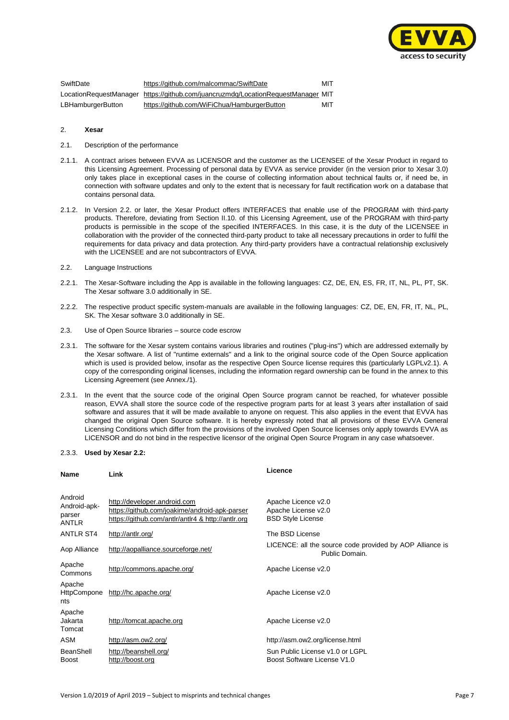

| SwiftDate         | https://github.com/malcommac/SwiftDate                                           | MIT |
|-------------------|----------------------------------------------------------------------------------|-----|
|                   | LocationRequestManager https://github.com/juancruzmdg/LocationRequestManager MIT |     |
| LBHamburgerButton | https://github.com/WiFiChua/HamburgerButton                                      | MIT |

#### 2. **Xesar**

- 2.1. Description of the performance
- 2.1.1. A contract arises between EVVA as LICENSOR and the customer as the LICENSEE of the Xesar Product in regard to this Licensing Agreement. Processing of personal data by EVVA as service provider (in the version prior to Xesar 3.0) only takes place in exceptional cases in the course of collecting information about technical faults or, if need be, in connection with software updates and only to the extent that is necessary for fault rectification work on a database that contains personal data.
- 2.1.2. In Version 2.2. or later, the Xesar Product offers INTERFACES that enable use of the PROGRAM with third-party products. Therefore, deviating from Section II.10. of this Licensing Agreement, use of the PROGRAM with third-party products is permissible in the scope of the specified INTERFACES. In this case, it is the duty of the LICENSEE in collaboration with the provider of the connected third-party product to take all necessary precautions in order to fulfil the requirements for data privacy and data protection. Any third-party providers have a contractual relationship exclusively with the LICENSEE and are not subcontractors of EVVA.
- 2.2. Language Instructions
- 2.2.1. The Xesar-Software including the App is available in the following languages: CZ, DE, EN, ES, FR, IT, NL, PL, PT, SK. The Xesar software 3.0 additionally in SE.
- 2.2.2. The respective product specific system-manuals are available in the following languages: CZ, DE, EN, FR, IT, NL, PL, SK. The Xesar software 3.0 additionally in SE.
- 2.3. Use of Open Source libraries source code escrow
- 2.3.1. The software for the Xesar system contains various libraries and routines ("plug-ins") which are addressed externally by the Xesar software. A list of "runtime externals" and a link to the original source code of the Open Source application which is used is provided below, insofar as the respective Open Source license requires this (particularly LGPLv2.1). A copy of the corresponding original licenses, including the information regard ownership can be found in the annex to this Licensing Agreement (see Annex./1).
- 2.3.1. In the event that the source code of the original Open Source program cannot be reached, for whatever possible reason, EVVA shall store the source code of the respective program parts for at least 3 years after installation of said software and assures that it will be made available to anyone on request. This also applies in the event that EVVA has changed the original Open Source software. It is hereby expressly noted that all provisions of these EVVA General Licensing Conditions which differ from the provisions of the involved Open Source licenses only apply towards EVVA as LICENSOR and do not bind in the respective licensor of the original Open Source Program in any case whatsoever.

#### 2.3.3. **Used by Xesar 2.2:**

| Name                                              | Link                                                                                                                                | Licence                                                                    |
|---------------------------------------------------|-------------------------------------------------------------------------------------------------------------------------------------|----------------------------------------------------------------------------|
| Android<br>Android-apk-<br>parser<br><b>ANTLR</b> | http://developer.android.com<br>https://github.com/joakime/android-apk-parser<br>https://github.com/antlr/antlr4 & http://antlr.org | Apache Licence v2.0<br>Apache License v2.0<br><b>BSD Style License</b>     |
| <b>ANTLR ST4</b>                                  | http://antlr.org/                                                                                                                   | The BSD License                                                            |
| Aop Alliance                                      | http://aopalliance.sourceforge.net/                                                                                                 | LICENCE: all the source code provided by AOP Alliance is<br>Public Domain. |
| Apache<br>Commons                                 | http://commons.apache.org/                                                                                                          | Apache License v2.0                                                        |
| Apache<br><b>HttpCompone</b><br>nts               | http://hc.apache.org/                                                                                                               | Apache License v2.0                                                        |
| Apache<br>Jakarta<br>Tomcat                       | http://tomcat.apache.org                                                                                                            | Apache License v2.0                                                        |
| ASM                                               | http://asm.ow2.org/                                                                                                                 | http://asm.ow2.org/license.html                                            |
| BeanShell<br><b>Boost</b>                         | http://beanshell.org/<br>http://boost.org                                                                                           | Sun Public License v1.0 or LGPL<br>Boost Software License V1.0             |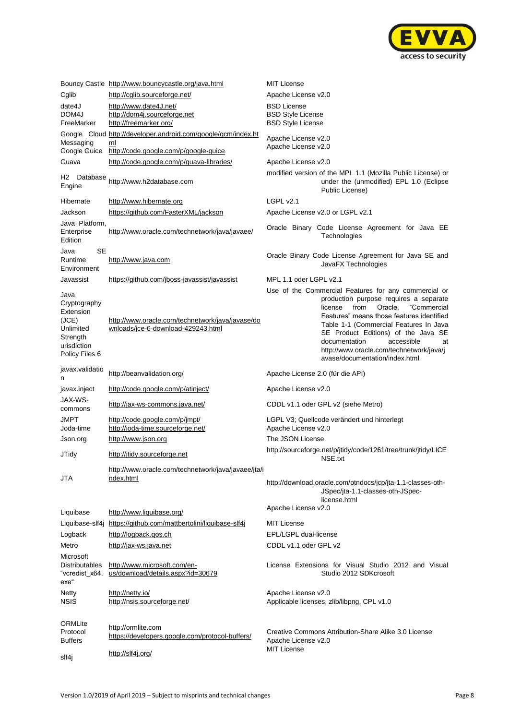

|                                                                                                      | Bouncy Castle http://www.bouncycastle.org/java.html                                         | <b>MIT License</b>                                                                                                                                                                                                                                                                                                                                                                           |
|------------------------------------------------------------------------------------------------------|---------------------------------------------------------------------------------------------|----------------------------------------------------------------------------------------------------------------------------------------------------------------------------------------------------------------------------------------------------------------------------------------------------------------------------------------------------------------------------------------------|
| Cglib                                                                                                | http://cglib.sourceforge.net/                                                               | Apache License v2.0                                                                                                                                                                                                                                                                                                                                                                          |
| date4J                                                                                               | http://www.date4J.net/                                                                      | <b>BSD License</b>                                                                                                                                                                                                                                                                                                                                                                           |
| DOM4J                                                                                                | http://dom4j.sourceforge.net                                                                | <b>BSD Style License</b>                                                                                                                                                                                                                                                                                                                                                                     |
| FreeMarker                                                                                           | http://freemarker.org/                                                                      | <b>BSD Style License</b>                                                                                                                                                                                                                                                                                                                                                                     |
| Messaging                                                                                            | Google Cloud http://developer.android.com/google/gcm/index.ht<br>ml                         | Apache License v2.0                                                                                                                                                                                                                                                                                                                                                                          |
| Google Guice                                                                                         | http://code.google.com/p/google-guice                                                       | Apache License v2.0                                                                                                                                                                                                                                                                                                                                                                          |
| Guava                                                                                                | http://code.google.com/p/guava-libraries/                                                   | Apache License v2.0                                                                                                                                                                                                                                                                                                                                                                          |
|                                                                                                      |                                                                                             | modified version of the MPL 1.1 (Mozilla Public License) or                                                                                                                                                                                                                                                                                                                                  |
| H2 Database<br>Engine                                                                                | http://www.h2database.com                                                                   | under the (unmodified) EPL 1.0 (Eclipse<br>Public License)                                                                                                                                                                                                                                                                                                                                   |
| Hibernate                                                                                            | http://www.hibernate.org                                                                    | LGPL v2.1                                                                                                                                                                                                                                                                                                                                                                                    |
| Jackson                                                                                              | https://github.com/FasterXML/jackson                                                        | Apache License v2.0 or LGPL v2.1                                                                                                                                                                                                                                                                                                                                                             |
| Java Platform,<br>Enterprise<br>Edition                                                              | http://www.oracle.com/technetwork/java/javaee/                                              | Oracle Binary Code License Agreement for Java EE<br>Technologies                                                                                                                                                                                                                                                                                                                             |
| <b>SE</b><br>Java<br>Runtime<br>Environment                                                          | http://www.java.com                                                                         | Oracle Binary Code License Agreement for Java SE and<br>JavaFX Technologies                                                                                                                                                                                                                                                                                                                  |
| Javassist                                                                                            | https://github.com/jboss-javassist/javassist                                                | MPL 1.1 oder LGPL v2.1                                                                                                                                                                                                                                                                                                                                                                       |
| Java<br>Cryptography<br>Extension<br>(JCE)<br>Unlimited<br>Strength<br>urisdiction<br>Policy Files 6 | http://www.oracle.com/technetwork/java/javase/do<br>wnloads/jce-6-download-429243.html      | Use of the Commercial Features for any commercial or<br>production purpose requires a separate<br>license<br>from<br>Oracle.<br>"Commercial<br>Features" means those features identified<br>Table 1-1 (Commercial Features In Java<br>SE Product Editions) of the Java SE<br>documentation<br>accessible<br>at<br>http://www.oracle.com/technetwork/java/j<br>avase/documentation/index.html |
|                                                                                                      |                                                                                             |                                                                                                                                                                                                                                                                                                                                                                                              |
| javax.validatio<br>n                                                                                 | http://beanvalidation.org/                                                                  | Apache License 2.0 (für die API)                                                                                                                                                                                                                                                                                                                                                             |
| javax.inject                                                                                         | http://code.google.com/p/atinject/                                                          | Apache License v2.0                                                                                                                                                                                                                                                                                                                                                                          |
| JAX-WS-<br>commons                                                                                   | http://jax-ws-commons.java.net/                                                             | CDDL v1.1 oder GPL v2 (siehe Metro)                                                                                                                                                                                                                                                                                                                                                          |
| JMPT<br>Joda-time                                                                                    | http://code.google.com/p/jmpt/<br>http://joda-time.sourceforge.net/                         | LGPL V3; Quellcode verändert und hinterlegt<br>Apache License v2.0                                                                                                                                                                                                                                                                                                                           |
| Json.org                                                                                             | http://www.json.org                                                                         | The JSON License                                                                                                                                                                                                                                                                                                                                                                             |
| JTidy                                                                                                | http://jtidy.sourceforge.net                                                                | http://sourceforge.net/p/jtidy/code/1261/tree/trunk/jtidy/LICE<br>NSE.txt                                                                                                                                                                                                                                                                                                                    |
|                                                                                                      | http://www.oracle.com/technetwork/java/javaee/jta/i                                         |                                                                                                                                                                                                                                                                                                                                                                                              |
| JTA                                                                                                  | ndex.html                                                                                   | http://download.oracle.com/otndocs/jcp/jta-1.1-classes-oth-<br>JSpec/jta-1.1-classes-oth-JSpec-<br>license.html                                                                                                                                                                                                                                                                              |
|                                                                                                      |                                                                                             | Apache License v2.0                                                                                                                                                                                                                                                                                                                                                                          |
| Liquibase                                                                                            | http://www.liquibase.org/                                                                   | <b>MIT License</b>                                                                                                                                                                                                                                                                                                                                                                           |
| Liquibase-slf4j                                                                                      | https://github.com/mattbertolini/liquibase-slf4j                                            | EPL/LGPL dual-license                                                                                                                                                                                                                                                                                                                                                                        |
| Logback<br>Metro                                                                                     | http://logback.gos.ch                                                                       | CDDL v1.1 oder GPL v2                                                                                                                                                                                                                                                                                                                                                                        |
| Microsoft<br><b>Distributables</b><br>"vcredist_x64.<br>exe"                                         | http://jax-ws.java.net<br>http://www.microsoft.com/en-<br>us/download/details.aspx?id=30679 | License Extensions for Visual Studio 2012 and Visual<br>Studio 2012 SDKcrosoft                                                                                                                                                                                                                                                                                                               |
| Netty<br><b>NSIS</b>                                                                                 | http://netty.io/<br>http://nsis.sourceforge.net/                                            | Apache License v2.0<br>Applicable licenses, zlib/libpng, CPL v1.0                                                                                                                                                                                                                                                                                                                            |
| ORMLite<br>Protocol<br><b>Buffers</b><br>slf4j                                                       | http://ormlite.com<br>https://developers.google.com/protocol-buffers/<br>http://slf4j.org/  | Creative Commons Attribution-Share Alike 3.0 License<br>Apache License v2.0<br><b>MIT License</b>                                                                                                                                                                                                                                                                                            |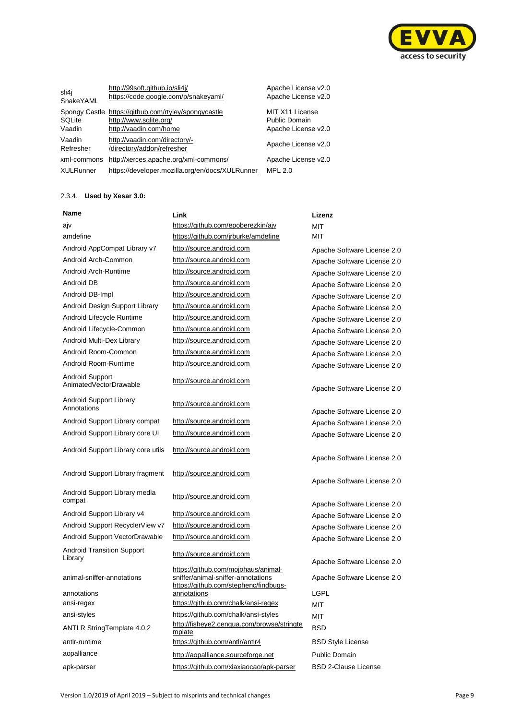

| sli4i<br>SnakeYAML  | http://99soft.github.io/sli4j/<br>https://code.google.com/p/snakeyaml/                                   | Apache License v2.0<br>Apache License v2.0              |
|---------------------|----------------------------------------------------------------------------------------------------------|---------------------------------------------------------|
| SQLite<br>Vaadin    | Spongy Castle https://github.com/rtyley/spongycastle<br>http://www.sqlite.org/<br>http://vaadin.com/home | MIT X11 License<br>Public Domain<br>Apache License v2.0 |
| Vaadin<br>Refresher | http://vaadin.com/directory/-<br>/directory/addon/refresher                                              | Apache License v2.0                                     |
| xml-commons         | http://xerces.apache.org/xml-commons/                                                                    | Apache License v2.0                                     |
| <b>XULRunner</b>    | https://developer.mozilla.org/en/docs/XULRunner                                                          | <b>MPL 2.0</b>                                          |

# 2.3.4. **Used by Xesar 3.0:**

| Name                                         | Link                                                                                                               | Lizenz                      |
|----------------------------------------------|--------------------------------------------------------------------------------------------------------------------|-----------------------------|
| ajv                                          | https://github.com/epoberezkin/ajv                                                                                 | <b>MIT</b>                  |
| amdefine                                     | https://github.com/jrburke/amdefine                                                                                | MIT                         |
| Android AppCompat Library v7                 | http://source.android.com                                                                                          | Apache Software License 2.0 |
| Android Arch-Common                          | http://source.android.com                                                                                          | Apache Software License 2.0 |
| Android Arch-Runtime                         | http://source.android.com                                                                                          | Apache Software License 2.0 |
| Android DB                                   | http://source.android.com                                                                                          | Apache Software License 2.0 |
| Android DB-Impl                              | http://source.android.com                                                                                          | Apache Software License 2.0 |
| Android Design Support Library               | http://source.android.com                                                                                          | Apache Software License 2.0 |
| Android Lifecycle Runtime                    | http://source.android.com                                                                                          | Apache Software License 2.0 |
| Android Lifecycle-Common                     | http://source.android.com                                                                                          | Apache Software License 2.0 |
| Android Multi-Dex Library                    | http://source.android.com                                                                                          | Apache Software License 2.0 |
| Android Room-Common                          | http://source.android.com                                                                                          | Apache Software License 2.0 |
| Android Room-Runtime                         | http://source.android.com                                                                                          | Apache Software License 2.0 |
| Android Support<br>AnimatedVectorDrawable    | http://source.android.com                                                                                          | Apache Software License 2.0 |
| Android Support Library<br>Annotations       | http://source.android.com                                                                                          | Apache Software License 2.0 |
| Android Support Library compat               | http://source.android.com                                                                                          | Apache Software License 2.0 |
| Android Support Library core UI              | http://source.android.com                                                                                          | Apache Software License 2.0 |
| Android Support Library core utils           | http://source.android.com                                                                                          | Apache Software License 2.0 |
| Android Support Library fragment             | http://source.android.com                                                                                          | Apache Software License 2.0 |
| Android Support Library media<br>compat      | http://source.android.com                                                                                          | Apache Software License 2.0 |
| Android Support Library v4                   | http://source.android.com                                                                                          | Apache Software License 2.0 |
| Android Support RecyclerView v7              | http://source.android.com                                                                                          | Apache Software License 2.0 |
| Android Support VectorDrawable               | http://source.android.com                                                                                          | Apache Software License 2.0 |
| <b>Android Transition Support</b><br>Library | http://source.android.com                                                                                          | Apache Software License 2.0 |
| animal-sniffer-annotations                   | https://github.com/mojohaus/animal-<br>sniffer/animal-sniffer-annotations<br>https://github.com/stephenc/findbugs- | Apache Software License 2.0 |
| annotations                                  | annotations                                                                                                        | LGPL                        |
| ansi-regex                                   | https://github.com/chalk/ansi-regex                                                                                | MIT                         |
| ansi-styles                                  | https://github.com/chalk/ansi-styles                                                                               | <b>MIT</b>                  |
| ANTLR StringTemplate 4.0.2                   | http://fisheye2.cenqua.com/browse/stringte<br>mplate                                                               | <b>BSD</b>                  |
| antlr-runtime                                | https://github.com/antlr/antlr4                                                                                    | <b>BSD Style License</b>    |
| aopalliance                                  | http://aopalliance.sourceforge.net                                                                                 | <b>Public Domain</b>        |
| apk-parser                                   | https://github.com/xiaxiaocao/apk-parser                                                                           | <b>BSD 2-Clause License</b> |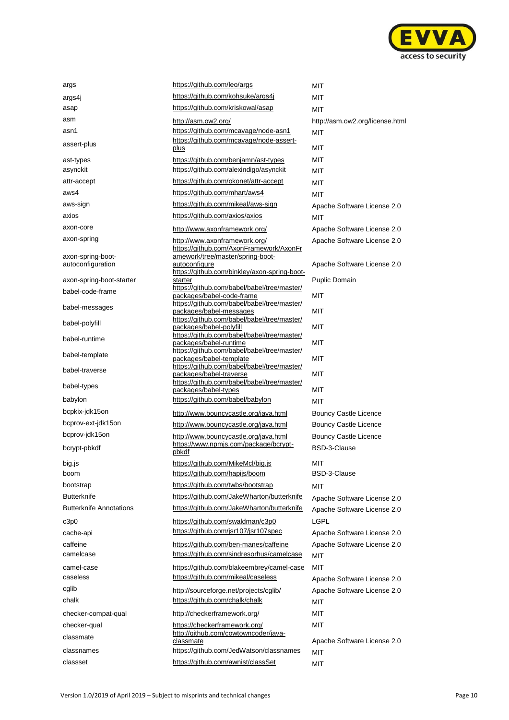

| args                                   | https://github.com/leo/args                                            | <b>MIT</b>                      |
|----------------------------------------|------------------------------------------------------------------------|---------------------------------|
| args4j                                 | https://github.com/kohsuke/args4j                                      | MIT                             |
| asap                                   | https://github.com/kriskowal/asap                                      | <b>MIT</b>                      |
| asm                                    | http://asm.ow2.org/                                                    | http://asm.ow2.org/license.html |
| asn1                                   | https://github.com/mcavage/node-asn1                                   | <b>MIT</b>                      |
| assert-plus                            | https://github.com/mcavage/node-assert-                                |                                 |
|                                        | plus                                                                   | MIT                             |
| ast-types                              | https://github.com/benjamn/ast-types                                   | MIT                             |
| asynckit                               | https://github.com/alexindigo/asynckit                                 | MIT                             |
| attr-accept                            | https://github.com/okonet/attr-accept                                  | MIT                             |
| aws4                                   | https://github.com/mhart/aws4                                          | MIT                             |
| aws-sign                               | https://github.com/mikeal/aws-sign                                     | Apache Software License 2.0     |
| axios                                  | https://github.com/axios/axios                                         | MIT                             |
| axon-core                              | http://www.axonframework.org/                                          | Apache Software License 2.0     |
| axon-spring                            | http://www.axonframework.org/                                          | Apache Software License 2.0     |
|                                        | https://github.com/AxonFramework/AxonFr                                |                                 |
| axon-spring-boot-<br>autoconfiguration | amework/tree/master/spring-boot-<br>autoconfigure                      | Apache Software License 2.0     |
|                                        | https://github.com/binkley/axon-spring-boot-                           |                                 |
| axon-spring-boot-starter               | starter<br>https://github.com/babel/babel/tree/master/                 | <b>Puplic Domain</b>            |
| babel-code-frame                       | packages/babel-code-frame                                              | <b>MIT</b>                      |
| babel-messages                         | https://github.com/babel/babel/tree/master/                            |                                 |
|                                        | packages/babel-messages<br>https://github.com/babel/babel/tree/master/ | MIT                             |
| babel-polyfill                         | packages/babel-polyfill                                                | <b>MIT</b>                      |
| babel-runtime                          | https://github.com/babel/babel/tree/master/                            | MIT                             |
|                                        | packages/babel-runtime<br>https://github.com/babel/babel/tree/master/  |                                 |
| babel-template                         | packages/babel-template                                                | <b>MIT</b>                      |
| babel-traverse                         | https://github.com/babel/babel/tree/master/<br>packages/babel-traverse | MIT                             |
| babel-types                            | https://github.com/babel/babel/tree/master/                            |                                 |
|                                        | packages/babel-types                                                   | <b>MIT</b>                      |
| babylon                                | https://github.com/babel/babylon                                       | <b>MIT</b>                      |
| bcpkix-jdk15on                         | http://www.bouncycastle.org/java.html                                  | Bouncy Castle Licence           |
| bcprov-ext-jdk15on                     | http://www.bouncycastle.org/java.html                                  | <b>Bouncy Castle Licence</b>    |
| bcprov-jdk15on                         | http://www.bouncycastle.org/java.html                                  | <b>Bouncy Castle Licence</b>    |
| bcrypt-pbkdf                           | https://www.npmjs.com/package/bcrypt-<br>pbkdf                         | BSD-3-Clause                    |
| big.js                                 | https://github.com/MikeMcl/big.js                                      | MIT                             |
| boom                                   | https://github.com/hapijs/boom                                         | <b>BSD-3-Clause</b>             |
| bootstrap                              | https://github.com/twbs/bootstrap                                      | МIТ                             |
| Butterknife                            | https://github.com/JakeWharton/butterknife                             | Apache Software License 2.0     |
| <b>Butterknife Annotations</b>         | https://github.com/JakeWharton/butterknife                             | Apache Software License 2.0     |
| c3p0                                   | https://github.com/swaldman/c3p0                                       | <b>LGPL</b>                     |
| cache-api                              | https://github.com/jsr107/jsr107spec                                   | Apache Software License 2.0     |
| caffeine                               | https://github.com/ben-manes/caffeine                                  | Apache Software License 2.0     |
| camelcase                              | https://github.com/sindresorhus/camelcase                              | MIT                             |
| camel-case                             | https://github.com/blakeembrey/camel-case                              | MIT                             |
| caseless                               | https://github.com/mikeal/caseless                                     | Apache Software License 2.0     |
| cglib                                  | http://sourceforge.net/projects/cglib/                                 | Apache Software License 2.0     |
| chalk                                  | https://github.com/chalk/chalk                                         |                                 |
|                                        |                                                                        | MIT                             |
| checker-compat-qual                    | http://checkerframework.org/                                           | MIT                             |
| checker-qual                           | https://checkerframework.org/<br>http://github.com/cowtowncoder/java-  | MIT                             |
| classmate                              | classmate                                                              | Apache Software License 2.0     |
| classnames                             | https://github.com/JedWatson/classnames                                | MIT                             |
| classset                               | https://github.com/awnist/classSet                                     | MIT                             |
|                                        |                                                                        |                                 |

| MIT<br>МIТ<br>МIТ<br>http://asm.ow2.org/license.html<br>міт<br>міт<br>міт<br>MIT<br>MIT                                    |
|----------------------------------------------------------------------------------------------------------------------------|
| міт<br>Apache Software License 2.0<br>міт                                                                                  |
| Apache Software License 2.0<br>Apache Software License 2.0                                                                 |
| Apache Software License 2.0                                                                                                |
| <b>Puplic Domain</b>                                                                                                       |
| MIT                                                                                                                        |
| MIT                                                                                                                        |
| MIT                                                                                                                        |
| МIТ                                                                                                                        |
| міт                                                                                                                        |
| міт                                                                                                                        |
| МIТ<br>міт<br><b>Bouncy Castle Licence</b><br><b>Bouncy Castle Licence</b><br><b>Bouncy Castle Licence</b><br>BSD-3-Clause |
| MIT<br>BSD-3-Clause                                                                                                        |
| MIT<br>Apache Software License 2.0<br>Apache Software License 2.0<br>LGPL<br>Apache Software License 2.0                   |
| Apache Software License 2.0<br>MIT<br>MIT                                                                                  |
| Apache Software License 2.0<br>Apache Software License 2.0<br>МIТ<br>МIТ<br>МIТ                                            |
| Apache Software License 2.0<br>MIT<br>MIT                                                                                  |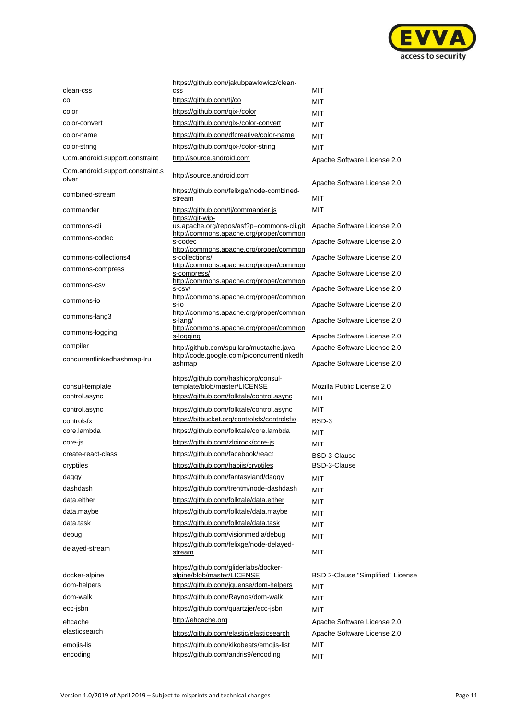

|                                           | https://github.com/jakubpawlowicz/clean-                                                                          |                                     |
|-------------------------------------------|-------------------------------------------------------------------------------------------------------------------|-------------------------------------|
| clean-css                                 | <b>CSS</b>                                                                                                        | MIT                                 |
| CO                                        | https://github.com/tj/co                                                                                          | <b>MIT</b>                          |
| color                                     | https://github.com/gix-/color                                                                                     | <b>MIT</b>                          |
| color-convert                             | https://github.com/gix-/color-convert                                                                             | <b>MIT</b>                          |
| color-name                                | https://github.com/dfcreative/color-name                                                                          | <b>MIT</b>                          |
| color-string                              | https://github.com/gix-/color-string                                                                              | <b>MIT</b>                          |
| Com.android.support.constraint            | http://source.android.com                                                                                         | Apache Software License 2.0         |
| Com.android.support.constraint.s<br>olver | http://source.android.com                                                                                         | Apache Software License 2.0         |
| combined-stream                           | https://github.com/felixge/node-combined-<br>stream                                                               | MIT                                 |
| commander                                 | https://github.com/tj/commander.js<br>https://git-wip-                                                            | <b>MIT</b>                          |
| commons-cli                               | us.apache.org/repos/asf?p=commons-cli.git                                                                         | Apache Software License 2.0         |
| commons-codec                             | http://commons.apache.org/proper/common<br>s-codec<br>http://commons.apache.org/proper/common                     | Apache Software License 2.0         |
| commons-collections4                      | s-collections/                                                                                                    | Apache Software License 2.0         |
| commons-compress                          | http://commons.apache.org/proper/common                                                                           | Apache Software License 2.0         |
| commons-csy                               | s-compress/<br>http://commons.apache.org/proper/common<br>s-csv/                                                  | Apache Software License 2.0         |
| commons-io                                | http://commons.apache.org/proper/common                                                                           |                                     |
| commons-lang3                             | s-io<br>http://commons.apache.org/proper/common                                                                   | Apache Software License 2.0         |
| commons-logging                           | s-lang/<br>http://commons.apache.org/proper/common                                                                | Apache Software License 2.0         |
|                                           | s-logging                                                                                                         | Apache Software License 2.0         |
| compiler                                  | http://github.com/spullara/mustache.java<br>http://code.google.com/p/concurrentlinkedh                            | Apache Software License 2.0         |
| concurrentlinkedhashmap-lru               | ashmap                                                                                                            | Apache Software License 2.0         |
| consul-template<br>control.async          | https://github.com/hashicorp/consul-<br>template/blob/master/LICENSE<br>https://github.com/folktale/control.async | Mozilla Public License 2.0<br>MIT   |
|                                           | https://github.com/folktale/control.async                                                                         | MIT                                 |
| control.async<br>controlsfx               | https://bitbucket.org/controlsfx/controlsfx/                                                                      | BSD-3                               |
| core.lambda                               | https://github.com/folktale/core.lambda                                                                           | MIT                                 |
| core-js                                   | https://github.com/zloirock/core-js                                                                               |                                     |
| create-react-class                        | https://github.com/facebook/react                                                                                 | MIT                                 |
| cryptiles                                 | https://github.com/hapijs/cryptiles                                                                               | <b>BSD-3-Clause</b><br>BSD-3-Clause |
|                                           |                                                                                                                   |                                     |
| daggy                                     | https://github.com/fantasyland/daggy<br>https://github.com/trentm/node-dashdash                                   | <b>MIT</b>                          |
| dashdash                                  |                                                                                                                   | MIT                                 |
| data.either                               | https://github.com/folktale/data.either                                                                           | <b>MIT</b>                          |
| data.maybe                                | https://github.com/folktale/data.maybe                                                                            | <b>MIT</b>                          |
| data.task                                 | https://github.com/folktale/data.task                                                                             | <b>MIT</b>                          |
| debug                                     | https://github.com/visionmedia/debug                                                                              | <b>MIT</b>                          |
| delayed-stream                            | https://github.com/felixge/node-delayed-<br>stream                                                                | <b>MIT</b>                          |
| docker-alpine                             | https://github.com/gliderlabs/docker-<br>alpine/blob/master/LICENSE                                               | BSD 2-Clause "Simplified" License   |
| dom-helpers                               | https://github.com/jquense/dom-helpers                                                                            | MIT                                 |
| dom-walk                                  | https://github.com/Raynos/dom-walk                                                                                | <b>MIT</b>                          |
| ecc-jsbn                                  | https://github.com/quartzjer/ecc-jsbn                                                                             | <b>MIT</b>                          |
| ehcache                                   | http://ehcache.org                                                                                                | Apache Software License 2.0         |
| elasticsearch                             |                                                                                                                   |                                     |
|                                           | https://github.com/elastic/elasticsearch                                                                          | Apache Software License 2.0         |
| emojis-lis                                | https://github.com/kikobeats/emojis-list                                                                          | МIТ                                 |
| encoding                                  | https://github.com/andris9/encoding                                                                               | <b>MIT</b>                          |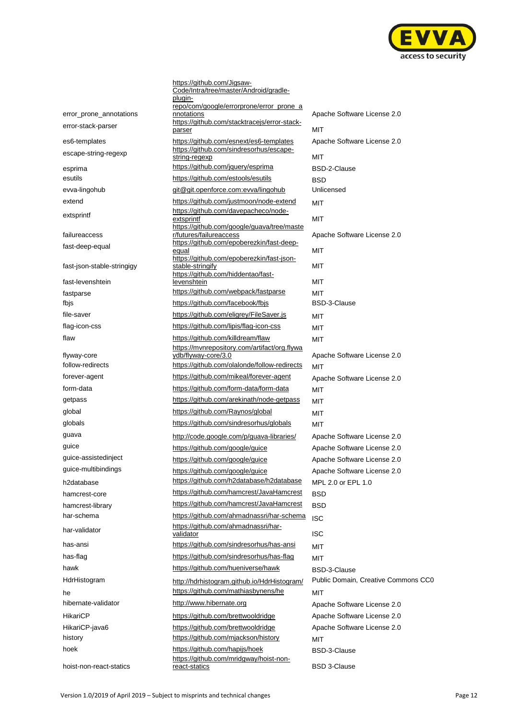

|                            | https://github.com/Jigsaw-<br>Code/Intra/tree/master/Android/gradle-<br>plugin-<br>repo/com/google/errorprone/error_prone_a |                                     |
|----------------------------|-----------------------------------------------------------------------------------------------------------------------------|-------------------------------------|
| error_prone_annotations    | nnotations                                                                                                                  | Apache Software License 2.0         |
| error-stack-parser         | https://github.com/stacktracejs/error-stack-<br>parser                                                                      | MIT                                 |
| es6-templates              | https://github.com/esnext/es6-templates                                                                                     | Apache Software License 2.0         |
| escape-string-regexp       | https://github.com/sindresorhus/escape-<br>string-regexp                                                                    | MIT                                 |
| esprima                    | https://github.com/jquery/esprima                                                                                           | <b>BSD-2-Clause</b>                 |
| esutils                    | https://github.com/estools/esutils                                                                                          | BSD                                 |
| evva-lingohub              | git@git.openforce.com:evva/lingohub                                                                                         | Unlicensed                          |
| extend                     | https://github.com/justmoon/node-extend                                                                                     | <b>MIT</b>                          |
| extsprintf                 | https://github.com/davepacheco/node-<br>extsprintf<br>https://github.com/google/guava/tree/maste                            | MIT                                 |
| failureaccess              | r/futures/failureaccess                                                                                                     | Apache Software License 2.0         |
| fast-deep-equal            | https://github.com/epoberezkin/fast-deep-<br>equal                                                                          | MIT                                 |
| fast-json-stable-stringigy | https://github.com/epoberezkin/fast-json-<br>stable-stringify<br>https://github.com/hiddentao/fast-                         | MIT                                 |
| fast-levenshtein           | levenshtein                                                                                                                 | MIT                                 |
| fastparse                  | https://github.com/webpack/fastparse                                                                                        | MIT                                 |
| fbjs                       | https://github.com/facebook/fbjs                                                                                            | <b>BSD-3-Clause</b>                 |
| file-saver                 | https://github.com/eligrey/FileSaver.js                                                                                     | MIT                                 |
| flag-icon-css              | https://github.com/lipis/flag-icon-css                                                                                      | MIT                                 |
| flaw                       | https://github.com/killdream/flaw                                                                                           | <b>MIT</b>                          |
| flyway-core                | https://mvnrepository.com/artifact/org.flywa<br>ydb/flyway-core/3.0                                                         | Apache Software License 2.0         |
| follow-redirects           | https://github.com/olalonde/follow-redirects                                                                                | MIT                                 |
| forever-agent              | https://github.com/mikeal/forever-agent                                                                                     | Apache Software License 2.0         |
| form-data                  | https://github.com/form-data/form-data                                                                                      | <b>MIT</b>                          |
| getpass                    | https://github.com/arekinath/node-getpass                                                                                   | MIT                                 |
| global                     | https://github.com/Raynos/global                                                                                            | MIT                                 |
| globals                    | https://github.com/sindresorhus/globals                                                                                     | <b>MIT</b>                          |
| guava                      | http://code.google.com/p/guava-libraries/                                                                                   | Apache Software License 2.0         |
| guice                      | https://github.com/google/guice                                                                                             | Apache Software License 2.0         |
| guice-assistedinject       | https://github.com/google/guice                                                                                             | Apache Software License 2.0         |
| guice-multibindings        | https://github.com/google/guice                                                                                             | Apache Software License 2.0         |
| h2database                 | https://github.com/h2database/h2database                                                                                    | MPL 2.0 or EPL 1.0                  |
| hamcrest-core              | https://github.com/hamcrest/JavaHamcrest                                                                                    | <b>BSD</b>                          |
| hamcrest-library           | https://github.com/hamcrest/JavaHamcrest                                                                                    | <b>BSD</b>                          |
| har-schema                 | https://github.com/ahmadnassri/har-schema                                                                                   | <b>ISC</b>                          |
| har-validator              | https://github.com/ahmadnassri/har-<br>validator                                                                            | <b>ISC</b>                          |
| has-ansi                   | https://github.com/sindresorhus/has-ansi                                                                                    | MIT                                 |
| has-flag                   | https://github.com/sindresorhus/has-flag                                                                                    | MIT                                 |
| hawk                       | https://github.com/hueniverse/hawk                                                                                          | <b>BSD-3-Clause</b>                 |
| HdrHistogram               | http://hdrhistogram.github.io/HdrHistogram/                                                                                 | Public Domain, Creative Commons CC0 |
| he                         | https://github.com/mathiasbynens/he                                                                                         | <b>MIT</b>                          |
| hibernate-validator        | http://www.hibernate.org                                                                                                    | Apache Software License 2.0         |
| <b>HikariCP</b>            | https://github.com/brettwooldridge                                                                                          | Apache Software License 2.0         |
| HikariCP-java6             | https://github.com/brettwooldridge                                                                                          | Apache Software License 2.0         |
| history                    | https://github.com/mjackson/history                                                                                         | MIT                                 |
| hoek                       | https://github.com/hapijs/hoek<br>https://github.com/mridgway/hoist-non-                                                    | <b>BSD-3-Clause</b>                 |
| hoist-non-react-statics    | react-statics                                                                                                               | <b>BSD 3-Clause</b>                 |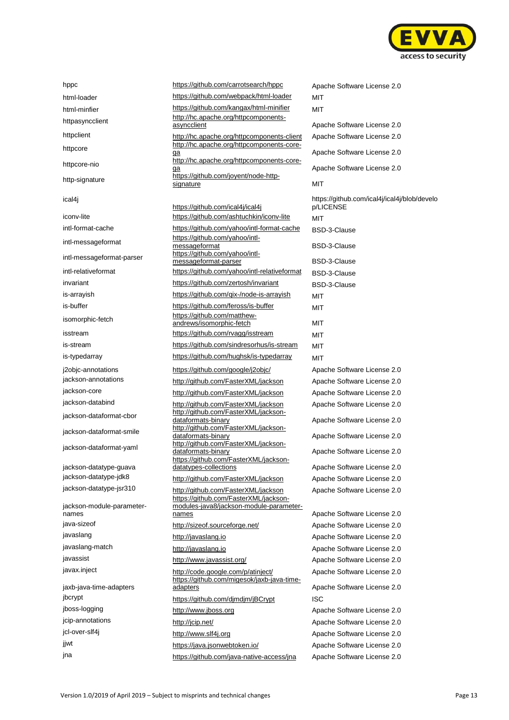

| hppc                                              |
|---------------------------------------------------|
| html-loader                                       |
| html-minfier                                      |
| httpasyncclient                                   |
| httpclient                                        |
| httpcore                                          |
| httpcore-nio                                      |
| http-signature                                    |
| ical4i                                            |
| iconv-lite                                        |
| intl-format-cache                                 |
| intl-messageformat                                |
| intl-messageformat-parser                         |
| intl-relativeformat                               |
| invariant                                         |
| is-arrayish                                       |
| is-buffer                                         |
| isomorphic-fetch                                  |
| isstream                                          |
| is-stream                                         |
| is-typedarray                                     |
| j2objc-annotations<br>jackson-annotations         |
| jackson-core                                      |
| jackson-databind                                  |
| jackson-dataformat-cbor                           |
| jackson-dataformat-smile                          |
| jackson-dataformat-yaml                           |
| jackson-datatype-guava                            |
| jackson-datatype-jdk8                             |
| jackson-datatype-jsr310                           |
| jackson-module-parameter-<br>names<br>java-sizeof |
| javaslang                                         |
| javaslang-match                                   |
| javassist                                         |
| javax.inject                                      |
| jaxb-java-time-adapters<br>jbcrypt                |
| jboss-logging                                     |
| jcip-annotations                                  |
| jcl-over-slf4j                                    |
| jjwt                                              |
|                                                   |

| hppc                                            | https://github.com/carrotsearch/hppc                                                                                    | Apache Software License 2.0       |
|-------------------------------------------------|-------------------------------------------------------------------------------------------------------------------------|-----------------------------------|
| html-loader                                     | https://github.com/webpack/html-loader                                                                                  | MIT                               |
| html-minfier                                    | https://github.com/kangax/html-minifier                                                                                 | <b>MIT</b>                        |
| httpasyncclient                                 | http://hc.apache.org/httpcomponents-<br>asyncclient                                                                     | Apache Software License 2.0       |
| httpclient                                      | http://hc.apache.org/httpcomponents-client                                                                              | Apache Software License 2.0       |
| httpcore                                        | http://hc.apache.org/httpcomponents-core-<br><u>ga</u>                                                                  | Apache Software License 2.0       |
| httpcore-nio                                    | http://hc.apache.org/httpcomponents-core-<br>ga                                                                         | Apache Software License 2.0       |
| http-signature                                  | https://github.com/joyent/node-http-<br>signature                                                                       | <b>MIT</b>                        |
| ical4j                                          |                                                                                                                         | https://github.com/ical4j/ical4j/ |
| iconv-lite                                      | https://github.com/ical4j/ical4j<br>https://github.com/ashtuchkin/iconv-lite                                            | p/LICENSE<br><b>MIT</b>           |
| intl-format-cache                               | https://github.com/yahoo/intl-format-cache                                                                              | <b>BSD-3-Clause</b>               |
| intl-messageformat                              | https://github.com/yahoo/intl-<br>messageformat                                                                         | <b>BSD-3-Clause</b>               |
| intl-messageformat-parser                       | https://github.com/yahoo/intl-<br>messageformat-parser                                                                  | <b>BSD-3-Clause</b>               |
| intl-relativeformat                             | https://github.com/yahoo/intl-relativeformat                                                                            | BSD-3-Clause                      |
| invariant                                       | https://github.com/zertosh/invariant                                                                                    | BSD-3-Clause                      |
| is-arrayish                                     | https://github.com/gix-/node-is-arrayish                                                                                | <b>MIT</b>                        |
| is-buffer                                       | https://github.com/feross/is-buffer                                                                                     | <b>MIT</b>                        |
|                                                 | https://github.com/matthew-                                                                                             |                                   |
| isomorphic-fetch                                | andrews/isomorphic-fetch                                                                                                | MIT                               |
| isstream                                        | https://github.com/rvagg/isstream                                                                                       | <b>MIT</b>                        |
| is-stream                                       | https://github.com/sindresorhus/is-stream                                                                               | MIT                               |
| is-typedarray                                   | https://github.com/hughsk/is-typedarray                                                                                 | <b>MIT</b>                        |
| j2objc-annotations                              | https://github.com/google/j2objc/                                                                                       | Apache Software License 2.0       |
| jackson-annotations                             | http://github.com/FasterXML/jackson                                                                                     | Apache Software License 2.0       |
| jackson-core                                    | http://github.com/FasterXML/jackson                                                                                     | Apache Software License 2.0       |
| jackson-databind                                | http://github.com/FasterXML/jackson                                                                                     | Apache Software License 2.0       |
| jackson-dataformat-cbor                         | http://github.com/FasterXML/jackson-<br>dataformats-binary                                                              | Apache Software License 2.0       |
| jackson-dataformat-smile                        | http://github.com/FasterXML/jackson-<br>dataformats-binary                                                              | Apache Software License 2.0       |
| jackson-dataformat-yaml                         | http://github.com/FasterXML/jackson-<br>dataformats-binary                                                              | Apache Software License 2.0       |
|                                                 | https://github.com/FasterXML/jackson-<br>datatypes-collections                                                          | Apache Software License 2.0       |
| jackson-datatype-guava<br>jackson-datatype-jdk8 | http://github.com/FasterXML/jackson                                                                                     | Apache Software License 2.0       |
| jackson-datatype-jsr310                         |                                                                                                                         | Apache Software License 2.0       |
| jackson-module-parameter-                       | http://github.com/FasterXML/jackson<br>https://github.com/FasterXML/jackson-<br>modules-java8/jackson-module-parameter- |                                   |
| names                                           | names                                                                                                                   | Apache Software License 2.0       |
| java-sizeof                                     | http://sizeof.sourceforge.net/                                                                                          | Apache Software License 2.0       |
| javaslang                                       | http://javaslang.io                                                                                                     | Apache Software License 2.0       |
| javaslang-match                                 | http://javaslang.io                                                                                                     | Apache Software License 2.0       |
| javassist                                       | http://www.javassist.org/                                                                                               | Apache Software License 2.0       |
| javax.inject                                    | http://code.google.com/p/atinject/<br>https://github.com/migesok/jaxb-java-time-                                        | Apache Software License 2.0       |
| jaxb-java-time-adapters                         | adapters                                                                                                                | Apache Software License 2.0       |
| jbcrypt                                         | https://github.com/djmdjm/jBCrypt                                                                                       | <b>ISC</b>                        |
| jboss-logging                                   | http://www.jboss.org                                                                                                    | Apache Software License 2.0       |
| jcip-annotations                                | http://jcip.net/                                                                                                        | Apache Software License 2.0       |
| jcl-over-slf4j                                  | http://www.slf4j.org                                                                                                    | Apache Software License 2.0       |
| jjwt                                            | https://java.jsonwebtoken.jo/                                                                                           | Apache Software License 2.0       |

Apache Software License 2.0 Apache Software License 2.0 Apache Software License 2.0 Apache Software License 2.0 Apache Software License 2.0 https://github.com/ical4j/ical4j/blob/develo p/LICENSE BSD-3-Clause BSD-3-Clause BSD-3-Clause BSD-3-Clause BSD-3-Clause Apache Software License 2.0 Apache Software License 2.0 Apache Software License 2.0 Apache Software License 2.0 Apache Software License 2.0 Apache Software License 2.0 Apache Software License 2.0 Apache Software License 2.0 Apache Software License 2.0 Apache Software License 2.0 Apache Software License 2.0 Apache Software License 2.0 Apache Software License 2.0 Apache Software License 2.0 Apache Software License 2.0 Apache Software License 2.0 Apache Software License 2.0 Apache Software License 2.0 Apache Software License 2.0 Apache Software License 2.0 jna <https://github.com/java-native-access/jna> Apache Software License 2.0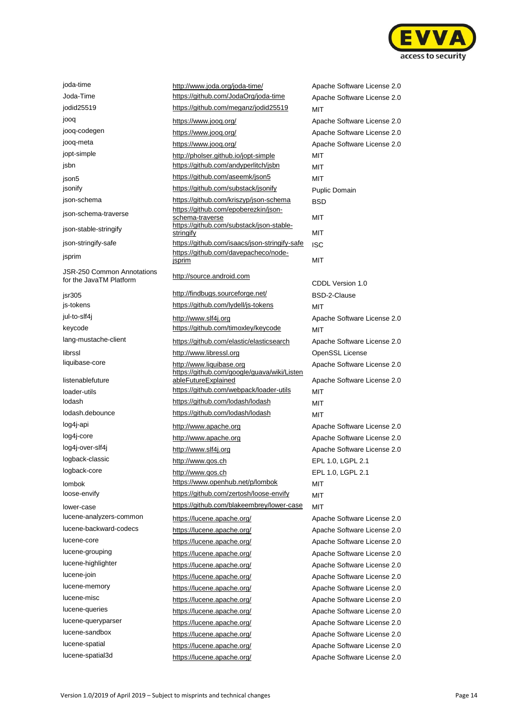

JSR-250 Common Annotations JSR-250 Common Annotations<br>for the JavaTM Platform [http://source.android.com](http://source.android.com/) listenablefuture

joda-time <http://www.joda.org/joda-time/> Apache Software License 2.0 Joda-Time **<https://github.com/JodaOrg/joda-time>** Apache Software License 2.0 jodid25519 <https://github.com/meganz/jodid25519> MIT jooq https://www.joog.org/ https://www.joog.org/ Apache Software License 2.0 jooq-codegen https://www.jooq.org/ Apache Software License 2.0 jooq-meta https://www.jooq.org/ https://www.jooq.org/ Apache Software License 2.0 jopt-simple <http://pholser.github.io/jopt-simple> MIT jsbn <https://github.com/andyperlitch/jsbn> MIT ison5 https://github.com/aseemk/json5 MIT jsonify **<https://github.com/substack/jsonify>** Puplic Domain json-schema <https://github.com/kriszyp/json-schema> BSD json-schema-traverse [https://github.com/epoberezkin/json](https://github.com/epoberezkin/json-schema-traverse)[schema-traverse](https://github.com/epoberezkin/json-schema-traverse) MIT json-stable-stringify [https://github.com/substack/json-stable](https://github.com/substack/json-stable-stringify)[stringify](https://github.com/substack/json-stable-stringify) **MIT** json-stringify-safe <https://github.com/isaacs/json-stringify-safe> ISC jsprim [https://github.com/davepacheco/node](https://github.com/davepacheco/node-jsprim)isprim MIT jsr305 <http://findbugs.sourceforge.net/> BSD-2-Clause js-tokens **<https://github.com/lydell/js-tokens>** MIT jul-to-slf4j [http://www.slf4j.org](http://www.slf4j.org/) Apache Software License 2.0 keycode <https://github.com/timoxley/keycode> MIT lang-mustache-client <https://github.com/elastic/elasticsearch> Apache Software License 2.0 librssl **[http://www.libressl.org](http://www.libressl.org/) Changes** OpenSSL License liquibase-core [http://www.liquibase.org](http://www.liquibase.org/) Apache Software License 2.0 https://github.com/google/guava/wiki/Listen ableFutureExplained Apache Software License 2.0 loader-utils **https://github.com/webpack/loader-utils** MIT lodash <https://github.com/lodash/lodash> MIT lodash.debounce <https://github.com/lodash/lodash> MIT log4j-api [http://www.apache.org](http://www.apache.org/) Apache Software License 2.0 log4j-core [http://www.apache.org](http://www.apache.org/) http://www.apache.org Apache Software License 2.0 log4j-over-slf4j [http://www.slf4j.org](http://www.slf4j.org/) http://www.slf4j.org Apache Software License 2.0 logback-classic [http://www.qos.ch](http://www.qos.ch/) http://www.qos.ch EPL 1.0, LGPL 2.1 logback-core [http://www.qos.ch](http://www.qos.ch/) http://www.qos.ch EPL 1.0, LGPL 2.1 lombok https://www.openhub.net/p/lombok MIT loose-envify <https://github.com/zertosh/loose-envify> MIT lower-case https://github.com/blakeembrey/lower-case MIT lucene-analyzers-common <https://lucene.apache.org/> Apache Software License 2.0 lucene-backward-codecs <https://lucene.apache.org/> Apache Software License 2.0 lucene-core <https://lucene.apache.org/> Apache Software License 2.0 lucene-grouping <https://lucene.apache.org/> Apache Software License 2.0 lucene-highlighter <https://lucene.apache.org/> Apache Software License 2.0 lucene-join <https://lucene.apache.org/> Apache Software License 2.0 lucene-memory <https://lucene.apache.org/> Apache Software License 2.0 lucene-misc <https://lucene.apache.org/> Apache Software License 2.0 lucene-queries <https://lucene.apache.org/> Apache Software License 2.0 lucene-queryparser <https://lucene.apache.org/> Apache Software License 2.0 lucene-sandbox <https://lucene.apache.org/> Apache Software License 2.0 lucene-spatial <https://lucene.apache.org/> Apache Software License 2.0 lucene-spatial3d <https://lucene.apache.org/> Apache Software License 2.0

CDDL Version 1.0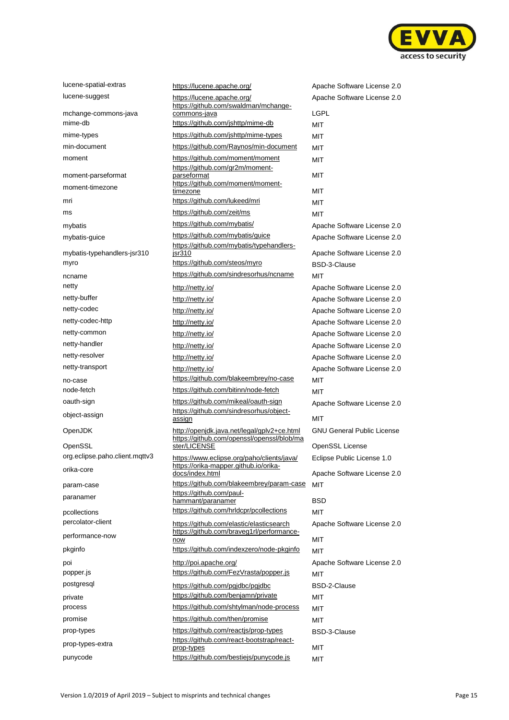

| lucene-spatial-extras          | https://lucene.apache.org/                                                                | Apache Software License 2.0        |
|--------------------------------|-------------------------------------------------------------------------------------------|------------------------------------|
| lucene-suggest                 | https://lucene.apache.org/<br>https://github.com/swaldman/mchange-                        | Apache Software License 2.0        |
| mchange-commons-java           | <u>commons-java</u>                                                                       | <b>LGPL</b>                        |
| mime-db                        | https://github.com/jshttp/mime-db                                                         | MIT                                |
| mime-types                     | https://github.com/jshttp/mime-types                                                      | MIT                                |
| min-document                   | https://github.com/Raynos/min-document                                                    | MIT                                |
| moment                         | https://github.com/moment/moment<br>https://github.com/gr2m/moment-                       | MIT                                |
| moment-parseformat             | parseformat                                                                               | MIT                                |
| moment-timezone                | https://github.com/moment/moment-<br>timezone                                             | MIT                                |
| mri                            | https://github.com/lukeed/mri                                                             | MIT                                |
| ms                             | https://github.com/zeit/ms                                                                | MIT                                |
| mybatis                        | https://github.com/mybatis/                                                               | Apache Software License 2.0        |
| mybatis-guice                  | https://github.com/mybatis/guice<br>https://github.com/mybatis/typehandlers-              | Apache Software License 2.0        |
| mybatis-typehandlers-jsr310    | jsr310                                                                                    | Apache Software License 2.0        |
| myro                           | https://github.com/steos/myro                                                             | <b>BSD-3-Clause</b>                |
| ncname                         | https://github.com/sindresorhus/ncname                                                    | MIT                                |
| netty                          | http://netty.io/                                                                          | Apache Software License 2.0        |
| netty-buffer                   | http://netty.io/                                                                          | Apache Software License 2.0        |
| netty-codec                    | http://netty.io/                                                                          | Apache Software License 2.0        |
| netty-codec-http               | http://netty.io/                                                                          | Apache Software License 2.0        |
| netty-common                   | http://netty.io/                                                                          | Apache Software License 2.0        |
| netty-handler                  | http://netty.io/                                                                          | Apache Software License 2.0        |
| netty-resolver                 | http://netty.io/                                                                          | Apache Software License 2.0        |
| netty-transport                | http://netty.io/                                                                          | Apache Software License 2.0        |
| no-case                        | https://github.com/blakeembrey/no-case                                                    | <b>MIT</b>                         |
| node-fetch                     | https://github.com/bitinn/node-fetch                                                      | MIT                                |
| oauth-sign                     | https://github.com/mikeal/oauth-sign                                                      |                                    |
| object-assign                  | https://github.com/sindresorhus/object-<br>assign                                         | Apache Software License 2.0<br>MIT |
| OpenJDK                        | http://openjdk.java.net/legal/gplv2+ce.html<br>https://github.com/openssl/openssl/blob/ma | <b>GNU General Public License</b>  |
| OpenSSL                        | ster/LICENSE                                                                              | OpenSSL License                    |
| org.eclipse.paho.client.mqttv3 | https://www.eclipse.org/paho/clients/java/<br>https://orika-mapper.github.io/orika-       | Eclipse Public License 1.0         |
| orika-core                     | docs/index.html                                                                           | Apache Software License 2.0        |
| param-case                     | https://github.com/blakeembrey/param-case                                                 | <b>MIT</b>                         |
| paranamer                      | https://github.com/paul-<br>hammant/paranamer                                             | BSD                                |
| pcollections                   | https://github.com/hrldcpr/pcollections                                                   | <b>MIT</b>                         |
| percolator-client              | https://github.com/elastic/elasticsearch                                                  | Apache Software License 2.0        |
| performance-now                | https://github.com/braveg1rl/performance-<br>now                                          | MIT                                |
| pkginfo                        | https://github.com/indexzero/node-pkginfo                                                 | <b>MIT</b>                         |
| poi                            | http://poi.apache.org/                                                                    | Apache Software License 2.0        |
| popper.js                      | https://github.com/FezVrasta/popper.js                                                    | <b>MIT</b>                         |
| postgresql                     | https://github.com/pgjdbc/pgjdbc                                                          | <b>BSD-2-Clause</b>                |
| private                        | https://github.com/benjamn/private                                                        | MIT                                |
| process                        | https://github.com/shtylman/node-process                                                  | MIT                                |
| promise                        | https://github.com/then/promise                                                           | MIT                                |
| prop-types                     | https://github.com/reactjs/prop-types                                                     | BSD-3-Clause                       |
| prop-types-extra               | https://github.com/react-bootstrap/react-                                                 |                                    |
| punycode                       | prop-types<br>https://github.com/bestiejs/punycode.js                                     | MIT                                |
|                                |                                                                                           | <b>MIT</b>                         |

| https://lucene.apache.org/                                                                 | Apache Software License 2.0                        |
|--------------------------------------------------------------------------------------------|----------------------------------------------------|
| https://lucene.apache.org/                                                                 | Apache Software License 2.0                        |
| https://github.com/swaldman/mchange-<br>commons-java                                       | LGPL                                               |
| https://github.com/jshttp/mime-db                                                          | MIT                                                |
| https://github.com/jshttp/mime-types                                                       | <b>MIT</b>                                         |
| https://github.com/Raynos/min-document                                                     | MIT                                                |
| https://github.com/moment/moment                                                           | MIT                                                |
| https://github.com/gr2m/moment-                                                            |                                                    |
| parseformat<br>https://github.com/moment/moment-                                           | <b>MIT</b>                                         |
| timezone                                                                                   | MIT                                                |
| https://github.com/lukeed/mri                                                              | MIT                                                |
| https://github.com/zeit/ms                                                                 | MIT                                                |
| https://github.com/mybatis/                                                                | Apache Software License 2.0                        |
| https://github.com/mybatis/guice                                                           | Apache Software License 2.0                        |
| https://github.com/mybatis/typehandlers-                                                   |                                                    |
| jsr310<br>https://github.com/steos/myro                                                    | Apache Software License 2.0<br><b>BSD-3-Clause</b> |
| https://github.com/sindresorhus/ncname                                                     | <b>MIT</b>                                         |
|                                                                                            |                                                    |
| http://netty.io/                                                                           | Apache Software License 2.0                        |
| http://netty.io/                                                                           | Apache Software License 2.0                        |
| http://netty.io/                                                                           | Apache Software License 2.0                        |
| http://netty.io/                                                                           | Apache Software License 2.0                        |
| http://netty.io/                                                                           | Apache Software License 2.0                        |
| http://netty.io/                                                                           | Apache Software License 2.0                        |
| http://netty.io/                                                                           | Apache Software License 2.0                        |
| http://netty.io/<br>https://github.com/blakeembrey/no-case                                 | Apache Software License 2.0                        |
| https://github.com/bitinn/node-fetch                                                       | <b>MIT</b>                                         |
| https://github.com/mikeal/oauth-sign                                                       | MIT                                                |
| https://github.com/sindresorhus/object-<br>assign                                          | Apache Software License 2.0<br><b>MIT</b>          |
| http://openjdk.java.net/legal/gplv2+ce.html                                                | <b>GNU General Public License</b>                  |
| https://github.com/openssl/openssl/blob/ma<br>ster/LICENSE                                 |                                                    |
|                                                                                            | OpenSSL License                                    |
| https://www.eclipse.org/paho/clients/java/<br><u>https://orika-mapper.github.io/orika-</u> | Eclipse Public License 1.0                         |
| docs/index.html                                                                            | Apache Software License 2.0                        |
| https://github.com/blakeembrey/param-case                                                  | <b>MIT</b>                                         |
| https://github.com/paul-<br>hammant/paranamer                                              | <b>BSD</b>                                         |
| https://github.com/hrIdcpr/pcollections                                                    | MIT                                                |
| https://github.com/elastic/elasticsearch                                                   | Apache Software License 2.0                        |
| https://github.com/braveg1rl/performance-                                                  |                                                    |
| now<br>https://github.com/indexzero/node-pkginfo                                           | MIT                                                |
|                                                                                            | MIT                                                |
| http://poi.apache.org/<br>https://github.com/FezVrasta/popper.js                           | Apache Software License 2.0                        |
|                                                                                            | MIT                                                |
| https://github.com/pgjdbc/pgjdbc                                                           | BSD-2-Clause                                       |
| https://github.com/benjamn/private                                                         | MIT                                                |
| https://github.com/shtylman/node-process                                                   | MIT                                                |
| https://github.com/then/promise                                                            | MIT                                                |
| https://github.com/reactjs/prop-types<br>https://github.com/react-bootstrap/react-         | BSD-3-Clause                                       |
| prop-types                                                                                 | MIT                                                |
| httpe://aithub.com/boetioie/punyeodo.ie                                                    |                                                    |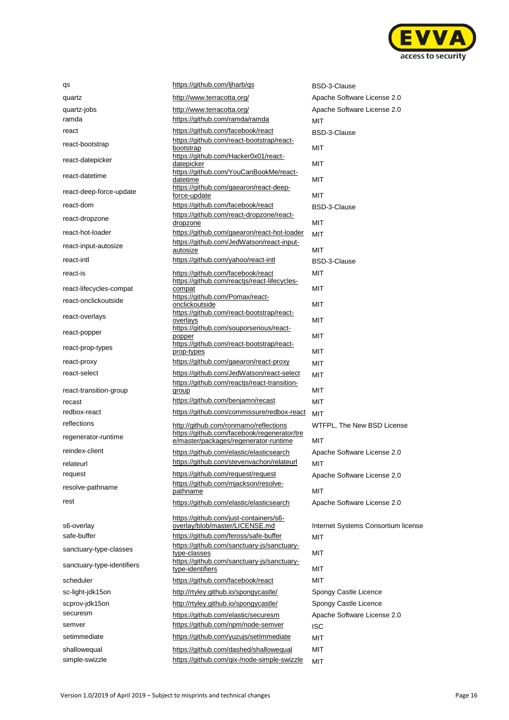

| qs                         | https://github.com/ljharb/qs                                                         | BSD-3-Clause                        |
|----------------------------|--------------------------------------------------------------------------------------|-------------------------------------|
| quartz                     | http://www.terracotta.org/                                                           | Apache Software License 2.0         |
| quartz-jobs                | http://www.terracotta.org/                                                           | Apache Software License 2.0         |
| ramda                      | https://github.com/ramda/ramda                                                       | MIT                                 |
| react                      | https://github.com/facebook/react                                                    | BSD-3-Clause                        |
| react-bootstrap            | https://github.com/react-bootstrap/react-<br>bootstrap                               | MIT                                 |
| react-datepicker           | https://github.com/Hacker0x01/react-<br>datepicker                                   | MIT                                 |
| react-datetime             | https://github.com/YouCanBookMe/react-<br>datetime                                   | MIT                                 |
| react-deep-force-update    | https://github.com/gaearon/react-deep-<br>force-update                               | <b>MIT</b>                          |
| react-dom                  | https://github.com/facebook/react                                                    | <b>BSD-3-Clause</b>                 |
| react-dropzone             | https://github.com/react-dropzone/react-<br>dropzone                                 | MIT                                 |
| react-hot-loader           | https://github.com/gaearon/react-hot-loader                                          | <b>MIT</b>                          |
| react-input-autosize       | https://github.com/JedWatson/react-input-<br>autosize                                | MIT                                 |
| react-intl                 | https://github.com/yahoo/react-intl                                                  | <b>BSD-3-Clause</b>                 |
| react-is                   | https://github.com/facebook/react<br>https://github.com/reactjs/react-lifecycles-    | MIT                                 |
| react-lifecycles-compat    | compat                                                                               | MIT                                 |
| react-onclickoutside       | https://github.com/Pomax/react-<br>onclickoutside                                    | <b>MIT</b>                          |
| react-overlays             | https://github.com/react-bootstrap/react-<br>overlays                                | MIT                                 |
| react-popper               | https://github.com/souporserious/react-<br>popper                                    | <b>MIT</b>                          |
| react-prop-types           | https://github.com/react-bootstrap/react-<br>prop-types                              | MIT                                 |
| react-proxy                | https://github.com/gaearon/react-proxy                                               | <b>MIT</b>                          |
| react-select               | https://github.com/JedWatson/react-select                                            | <b>MIT</b>                          |
|                            | https://github.com/reactjs/react-transition-                                         |                                     |
| react-transition-group     | group<br>https://github.com/benjamn/recast                                           | MIT                                 |
| recast                     |                                                                                      | MIT                                 |
| redbox-react               | https://github.com/commissure/redbox-react                                           | MIT                                 |
| reflections                | http://github.com/ronmamo/reflections                                                | WTFPL, The New BSD License          |
| regenerator-runtime        | https://github.com/facebook/regenerator/tre<br>e/master/packages/regenerator-runtime | MIT                                 |
| reindex-client             | https://github.com/elastic/elasticsearch                                             | Apache Software License 2.0         |
| relateurl                  | https://github.com/stevenvachon/relateurl                                            | MIT                                 |
| request                    | https://github.com/request/request                                                   | Apache Software License 2.0         |
| resolve-pathname           | https://github.com/mjackson/resolve-<br>pathname                                     | MIT                                 |
| rest                       | https://github.com/elastic/elasticsearch                                             | Apache Software License 2.0         |
|                            |                                                                                      |                                     |
| s6-overlay                 | https://github.com/just-containers/s6-<br>overlay/blob/master/LICENSE.md             | Internet Systems Consortium license |
| safe-buffer                | https://github.com/feross/safe-buffer                                                | MIT                                 |
| sanctuary-type-classes     | https://github.com/sanctuary-js/sanctuary-                                           |                                     |
| sanctuary-type-identifiers | type-classes<br>https://github.com/sanctuary-js/sanctuary-                           | МIТ                                 |
|                            | type-identifiers                                                                     | MIT                                 |
| scheduler                  | https://github.com/facebook/react                                                    | MIT                                 |
| sc-light-jdk15on           | http://rtyley.github.io/spongycastle/                                                | Spongy Castle Licence               |
| scprov-jdk15on             | http://rtyley.github.io/spongycastle/                                                | Spongy Castle Licence               |
| securesm                   | https://github.com/elastic/securesm                                                  | Apache Software License 2.0         |
| semver                     | https://github.com/npm/node-semver                                                   | ISC                                 |
| setimmediate               | https://github.com/yuzujs/setImmediate                                               | МIТ                                 |
| shallowequal               | https://github.com/dashed/shallowequal                                               | <b>MIT</b>                          |
| simple-swizzle             | https://github.com/gix-/node-simple-swizzle                                          | <b>MIT</b>                          |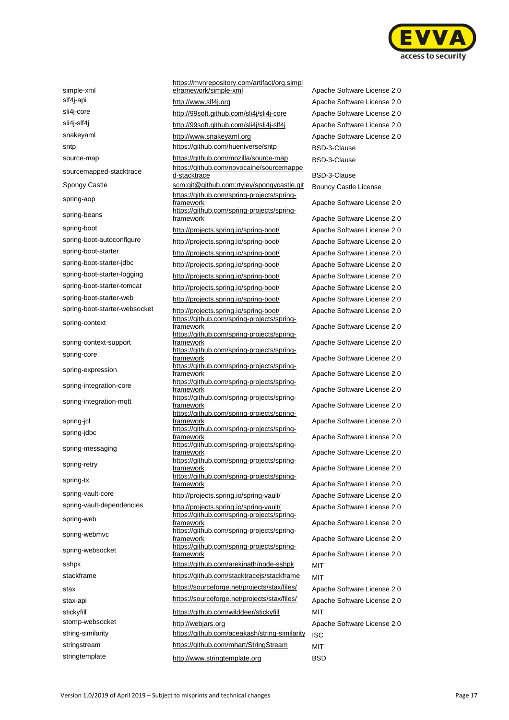

simple-xml spring-aop spring-context-support spring-core spring-integration-core spring-jcl

https://mvnrepository.com/artifact/org.simpl eframework/simple-xml Apache Software License 2.0 slf4j-api [http://www.slf4j.org](http://www.slf4j.org/) Apache Software License 2.0 sli4j-core <http://99soft.github.com/sli4j/sli4j-core> Apache Software License 2.0 sli4j-slf4j <http://99soft.github.com/sli4j/sli4j-slf4j> Apache Software License 2.0 snakeyaml [http://www.snakeyaml.org](http://www.snakeyaml.org/) Apache Software License 2.0 sntp <https://github.com/hueniverse/sntp> BSD-3-Clause source-map <https://github.com/mozilla/source-map> BSD-3-Clause sourcemapped-stacktrace [https://github.com/novocaine/sourcemappe](https://github.com/novocaine/sourcemapped-stacktrace) Spongy Castle scm:git@github.com:rtyley/spongycastle.git Bouncy Castle License [https://github.com/spring-projects/spring](https://github.com/spring-projects/spring-framework)[framework](https://github.com/spring-projects/spring-framework) **Apache Software License 2.0** spring-beans https://github.com/spring-projects/springspring-boot <http://projects.spring.io/spring-boot/> Apache Software License 2.0 spring-boot-autoconfigure <http://projects.spring.io/spring-boot/> Apache Software License 2.0 spring-boot-starter <http://projects.spring.io/spring-boot/> Apache Software License 2.0 spring-boot-starter-jdbc <http://projects.spring.io/spring-boot/> Apache Software License 2.0 spring-boot-starter-logging <http://projects.spring.io/spring-boot/> Apache Software License 2.0 spring-boot-starter-tomcat <http://projects.spring.io/spring-boot/> Apache Software License 2.0 spring-boot-starter-web <http://projects.spring.io/spring-boot/> Apache Software License 2.0 spring-boot-starter-websocket <http://projects.spring.io/spring-boot/> Apache Software License 2.0 spring-context https://github.com/spring-projects/spring[https://github.com/spring-projects/spring](https://github.com/spring-projects/spring-framework)[framework](https://github.com/spring-projects/spring-framework) **Apache Software License 2.0** https://github.com/spring-projects/springframework Apache Software License 2.0 spring-expression https://github.com/spring-projects/spring-<br>framework https://github.com/spring-projects/springframework **Apache Software License 2.0** spring-integration-mqtt https://github.com/spring-projects/springhttps://github.com/spring-projects/springframework **Apache Software License 2.0** spring-jdbc<br>
framework<br>
framework spring-messaging https://github.com/spring-projects/springspring-retry https://github.com/spring-projects/springspring-tx https://github.com/spring-projects/springspring-vault-core http://projects.spring.io/spring-vault/ Apache Software License 2.0 spring-vault-dependencies http://projects.spring.io/spring-vault/ Apache Software License 2.0 spring-web https://github.com/spring-projects/springspring-webmvc https://github.com/spring-projects/spring-<br>
framework spring-websocket https://github.com/spring-projects/springsshpk <https://github.com/arekinath/node-sshpk> MIT stackframe <https://github.com/stacktracejs/stackframe> MIT stax https://sourceforge.net/projects/stax/files/ Apache Software License 2.0 stax-api https://sourceforge.net/projects/stax/files/ Apache Software License 2.0 stickyfill https://github.com/wilddeer/stickyfill MIT stomp-websocket [http://webjars.org](http://webjars.org/) http://webjars.org Apache Software License 2.0 string-similarity <https://github.com/aceakash/string-similarity> ISC stringstream <https://github.com/mhart/StringStream> MIT stringtemplate [http://www.stringtemplate.org](http://www.stringtemplate.org/) BSD

BSD-3-Clause Apache Software License 2.0 Apache Software License 2.0 Apache Software License 2.0 Apache Software License 2.0 Apache Software License 2.0 Apache Software License 2.0 Apache Software License 2.0 Apache Software License 2.0 Apache Software License 2.0 Apache Software License 2.0 Apache Software License 2.0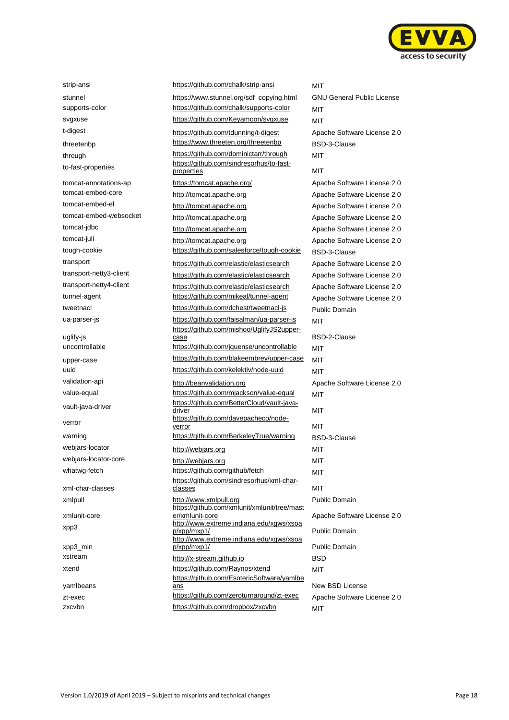

uglify-js verror xml-char-classes xmlunit-core xpp3\_min yamlbeans

strip-ansi **<https://github.com/chalk/strip-ansi>** MIT stunnel **[https://www.stunnel.org/sdf\\_copying.html](https://www.stunnel.org/sdf_copying.html)** GNU General Public License supports-color <https://github.com/chalk/supports-color> MIT svgxuse <https://github.com/Keyamoon/svgxuse> MIT t-digest <https://github.com/tdunning/t-digest> Apache Software License 2.0 threetenbp <https://www.threeten.org/threetenbp> BSD-3-Clause through https://github.com/dominictarr/through MIT to-fast-properties [https://github.com/sindresorhus/to-fast](https://github.com/sindresorhus/to-fast-properties)[properties](https://github.com/sindresorhus/to-fast-properties) MIT tomcat-annotations-ap https://tomcat.apache.org/ Apache Software License 2.0 tomcat-embed-core [http://tomcat.apache.org](http://tomcat.apache.org/) Apache Software License 2.0 tomcat-embed-el [http://tomcat.apache.org](http://tomcat.apache.org/) Apache Software License 2.0 tomcat-embed-websocket [http://tomcat.apache.org](http://tomcat.apache.org/) Apache Software License 2.0 tomcat-jdbc [http://tomcat.apache.org](http://tomcat.apache.org/) http://tomcat.apache.org Apache Software License 2.0 tomcat-juli [http://tomcat.apache.org](http://tomcat.apache.org/) Apache Software License 2.0 tough-cookie <https://github.com/salesforce/tough-cookie> BSD-3-Clause transport <https://github.com/elastic/elasticsearch> Apache Software License 2.0 transport-netty3-client <https://github.com/elastic/elasticsearch> Apache Software License 2.0 transport-netty4-client <https://github.com/elastic/elasticsearch> Apache Software License 2.0 tunnel-agent <https://github.com/mikeal/tunnel-agent> Apache Software License 2.0 tweetnacl <https://github.com/dchest/tweetnacl-js> Public Domain ua-parser-js **MIT** <https://github.com/faisalman/ua-parser-js> MIT https://github.com/mishoo/UglifyJS2uppercase BSD-2-Clause uncontrollable <https://github.com/jquense/uncontrollable> MIT upper-case https://github.com/blakeembrey/upper-case MIT uuid <https://github.com/kelektiv/node-uuid> MIT validation-api [http://beanvalidation.org](http://beanvalidation.org/) Apache Software License 2.0 value-equal <https://github.com/mjackson/value-equal> MIT vault-java-driver [https://github.com/BetterCloud/vault-java](https://github.com/BetterCloud/vault-java-driver)[driver](https://github.com/BetterCloud/vault-java-driver) MIT [https://github.com/davepacheco/node](https://github.com/davepacheco/node-verror)[verror](https://github.com/davepacheco/node-verror) MIT warning <https://github.com/BerkeleyTrue/warning> BSD-3-Clause webjars-locator [http://webjars.org](http://webjars.org/) MIT webjars-locator-core [http://webjars.org](http://webjars.org/) MIT whatwg-fetch <https://github.com/github/fetch> MIT https://github.com/sindresorhus/xml-charclasses MIT xmlpull [http://www.xmlpull.org](http://www.xmlpull.org/) Public Domain https://github.com/xmlunit/xmlunit/tree/mast er/xmlunit-core Apache Software License 2.0 xpp3 [http://www.extreme.indiana.edu/xgws/xsoa](http://www.extreme.indiana.edu/xgws/xsoap/xpp/mxp1/)<br>p/xpp/mxp1/ [http://www.extreme.indiana.edu/xgws/xsoa](http://www.extreme.indiana.edu/xgws/xsoap/xpp/mxp1/) [p/xpp/mxp1/](http://www.extreme.indiana.edu/xgws/xsoap/xpp/mxp1/) Public Domain xstream [http://x-stream.github.io](http://x-stream.github.io/) BSD xtend **<https://github.com/Raynos/xtend>** MIT [https://github.com/EsotericSoftware/yamlbe](https://github.com/EsotericSoftware/yamlbeans) [ans](https://github.com/EsotericSoftware/yamlbeans) New BSD License zt-exec https://github.com/zeroturnaround/zt-exec Apache Software License 2.0

Public Domain zxcvbn <https://github.com/dropbox/zxcvbn> MIT